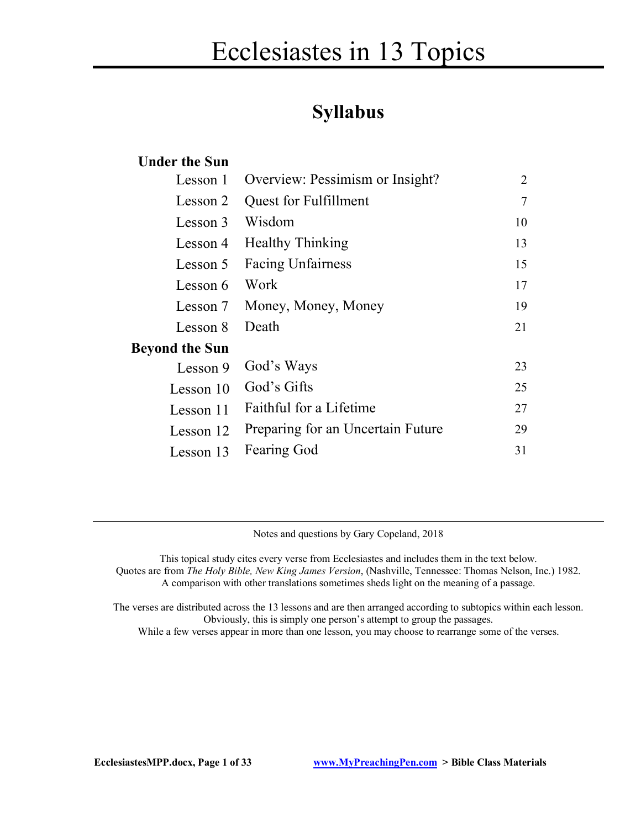# **Syllabus**

### **Under the Sun**

| Lesson 1              | Overview: Pessimism or Insight?   | $\overline{2}$ |
|-----------------------|-----------------------------------|----------------|
| Lesson 2              | <b>Quest for Fulfillment</b>      | 7              |
| Lesson 3              | Wisdom                            | 10             |
|                       | Lesson 4 Healthy Thinking         | 13             |
|                       | Lesson 5 Facing Unfairness        | 15             |
| Lesson 6              | Work                              | 17             |
| Lesson 7              | Money, Money, Money               | 19             |
| Lesson 8              | Death                             | 21             |
| <b>Beyond the Sun</b> |                                   |                |
| Lesson 9              | God's Ways                        | 23             |
| Lesson 10             | God's Gifts                       | 25             |
| Lesson 11             | Faithful for a Lifetime           | 27             |
| Lesson 12             | Preparing for an Uncertain Future | 29             |
| Lesson 13             | <b>Fearing God</b>                | 31             |

Notes and questions by Gary Copeland, 2018

This topical study cites every verse from Ecclesiastes and includes them in the text below. Quotes are from *The Holy Bible, New King James Version*, (Nashville, Tennessee: Thomas Nelson, Inc.) 1982. A comparison with other translations sometimes sheds light on the meaning of a passage.

The verses are distributed across the 13 lessons and are then arranged according to subtopics within each lesson. Obviously, this is simply one person's attempt to group the passages.

While a few verses appear in more than one lesson, you may choose to rearrange some of the verses.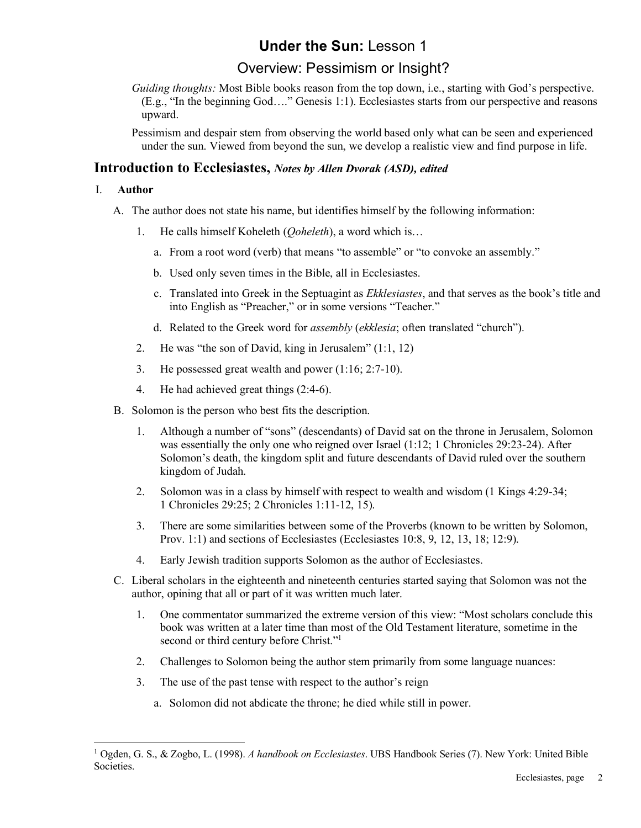### Overview: Pessimism or Insight?

*Guiding thoughts:* Most Bible books reason from the top down, i.e., starting with God's perspective. (E.g., "In the beginning God…." Genesis 1:1). Ecclesiastes starts from our perspective and reasons upward.

Pessimism and despair stem from observing the world based only what can be seen and experienced under the sun. Viewed from beyond the sun, we develop a realistic view and find purpose in life.

### **Introduction to Ecclesiastes,** *Notes by Allen Dvorak (ASD), edited*

### I. **Author**

- A. The author does not state his name, but identifies himself by the following information:
	- 1. He calls himself Koheleth (*Qoheleth*), a word which is…
		- a. From a root word (verb) that means "to assemble" or "to convoke an assembly."
		- b. Used only seven times in the Bible, all in Ecclesiastes.
		- c. Translated into Greek in the Septuagint as *Ekklesiastes*, and that serves as the book's title and into English as "Preacher," or in some versions "Teacher."
		- d. Related to the Greek word for *assembly* (*ekklesia*; often translated "church").
	- 2. He was "the son of David, king in Jerusalem" (1:1, 12)
	- 3. He possessed great wealth and power (1:16; 2:7-10).
	- 4. He had achieved great things (2:4-6).
- B. Solomon is the person who best fits the description.
	- 1. Although a number of "sons" (descendants) of David sat on the throne in Jerusalem, Solomon was essentially the only one who reigned over Israel (1:12; 1 Chronicles 29:23-24). After Solomon's death, the kingdom split and future descendants of David ruled over the southern kingdom of Judah.
	- 2. Solomon was in a class by himself with respect to wealth and wisdom (1 Kings 4:29-34; 1 Chronicles 29:25; 2 Chronicles 1:11-12, 15).
	- 3. There are some similarities between some of the Proverbs (known to be written by Solomon, Prov. 1:1) and sections of Ecclesiastes (Ecclesiastes 10:8, 9, 12, 13, 18; 12:9).
	- 4. Early Jewish tradition supports Solomon as the author of Ecclesiastes.
- C. Liberal scholars in the eighteenth and nineteenth centuries started saying that Solomon was not the author, opining that all or part of it was written much later.
	- 1. One commentator summarized the extreme version of this view: "Most scholars conclude this book was written at a later time than most of the Old Testament literature, sometime in the second or third century before Christ."<sup>1</sup>
	- 2. Challenges to Solomon being the author stem primarily from some language nuances:
	- 3. The use of the past tense with respect to the author's reign
		- a. Solomon did not abdicate the throne; he died while still in power.

 <sup>1</sup> Ogden, G. S., & Zogbo, L. (1998). *A handbook on Ecclesiastes*. UBS Handbook Series (7). New York: United Bible Societies.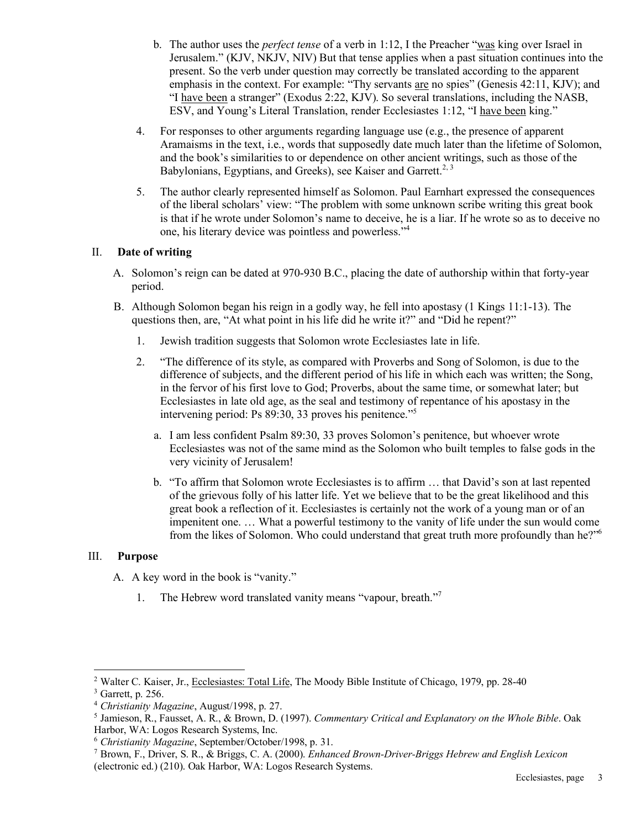- b. The author uses the *perfect tense* of a verb in 1:12, I the Preacher "was king over Israel in Jerusalem." (KJV, NKJV, NIV) But that tense applies when a past situation continues into the present. So the verb under question may correctly be translated according to the apparent emphasis in the context. For example: "Thy servants are no spies" (Genesis 42:11, KJV); and "I have been a stranger" (Exodus 2:22, KJV). So several translations, including the NASB, ESV, and Young's Literal Translation, render Ecclesiastes 1:12, "I have been king."
- 4. For responses to other arguments regarding language use (e.g., the presence of apparent Aramaisms in the text, i.e., words that supposedly date much later than the lifetime of Solomon, and the book's similarities to or dependence on other ancient writings, such as those of the Babylonians, Egyptians, and Greeks), see Kaiser and Garrett.<sup>2, 3</sup>
- 5. The author clearly represented himself as Solomon. Paul Earnhart expressed the consequences of the liberal scholars' view: "The problem with some unknown scribe writing this great book is that if he wrote under Solomon's name to deceive, he is a liar. If he wrote so as to deceive no one, his literary device was pointless and powerless."4

### II. **Date of writing**

- A. Solomon's reign can be dated at 970-930 B.C., placing the date of authorship within that forty-year period.
- B. Although Solomon began his reign in a godly way, he fell into apostasy (1 Kings 11:1-13). The questions then, are, "At what point in his life did he write it?" and "Did he repent?"
	- 1. Jewish tradition suggests that Solomon wrote Ecclesiastes late in life.
	- 2. "The difference of its style, as compared with Proverbs and Song of Solomon, is due to the difference of subjects, and the different period of his life in which each was written; the Song, in the fervor of his first love to God; Proverbs, about the same time, or somewhat later; but Ecclesiastes in late old age, as the seal and testimony of repentance of his apostasy in the intervening period: Ps 89:30, 33 proves his penitence."5
		- a. I am less confident Psalm 89:30, 33 proves Solomon's penitence, but whoever wrote Ecclesiastes was not of the same mind as the Solomon who built temples to false gods in the very vicinity of Jerusalem!
		- b. "To affirm that Solomon wrote Ecclesiastes is to affirm … that David's son at last repented of the grievous folly of his latter life. Yet we believe that to be the great likelihood and this great book a reflection of it. Ecclesiastes is certainly not the work of a young man or of an impenitent one. … What a powerful testimony to the vanity of life under the sun would come from the likes of Solomon. Who could understand that great truth more profoundly than he?"6

### III. **Purpose**

- A. A key word in the book is "vanity."
	- 1. The Hebrew word translated vanity means "vapour, breath."7

 <sup>2</sup> Walter C. Kaiser, Jr., Ecclesiastes: Total Life, The Moody Bible Institute of Chicago, 1979, pp. 28-40

<sup>3</sup> Garrett, p. 256.

<sup>4</sup> *Christianity Magazine*, August/1998, p. 27.

<sup>5</sup> Jamieson, R., Fausset, A. R., & Brown, D. (1997). *Commentary Critical and Explanatory on the Whole Bible*. Oak Harbor, WA: Logos Research Systems, Inc.

<sup>6</sup> *Christianity Magazine*, September/October/1998, p. 31.

<sup>7</sup> Brown, F., Driver, S. R., & Briggs, C. A. (2000). *Enhanced Brown-Driver-Briggs Hebrew and English Lexicon* (electronic ed.) (210). Oak Harbor, WA: Logos Research Systems.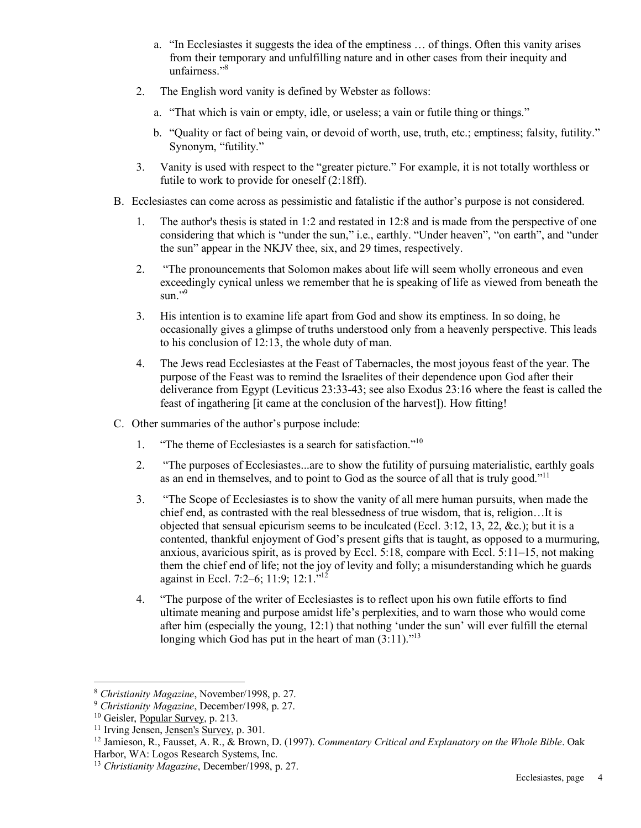- a. "In Ecclesiastes it suggests the idea of the emptiness … of things. Often this vanity arises from their temporary and unfulfilling nature and in other cases from their inequity and unfairness."8
- 2. The English word vanity is defined by Webster as follows:
	- a. "That which is vain or empty, idle, or useless; a vain or futile thing or things."
	- b. "Quality or fact of being vain, or devoid of worth, use, truth, etc.; emptiness; falsity, futility." Synonym, "futility."
- 3. Vanity is used with respect to the "greater picture." For example, it is not totally worthless or futile to work to provide for oneself (2:18ff).
- B. Ecclesiastes can come across as pessimistic and fatalistic if the author's purpose is not considered.
	- 1. The author's thesis is stated in 1:2 and restated in 12:8 and is made from the perspective of one considering that which is "under the sun," i.e., earthly. "Under heaven", "on earth", and "under the sun" appear in the NKJV thee, six, and 29 times, respectively.
	- 2. "The pronouncements that Solomon makes about life will seem wholly erroneous and even exceedingly cynical unless we remember that he is speaking of life as viewed from beneath the sun." $9$
	- 3. His intention is to examine life apart from God and show its emptiness. In so doing, he occasionally gives a glimpse of truths understood only from a heavenly perspective. This leads to his conclusion of 12:13, the whole duty of man.
	- 4. The Jews read Ecclesiastes at the Feast of Tabernacles, the most joyous feast of the year. The purpose of the Feast was to remind the Israelites of their dependence upon God after their deliverance from Egypt (Leviticus 23:33-43; see also Exodus 23:16 where the feast is called the feast of ingathering [it came at the conclusion of the harvest]). How fitting!
- C. Other summaries of the author's purpose include:
	- 1. "The theme of Ecclesiastes is a search for satisfaction."10
	- 2. "The purposes of Ecclesiastes...are to show the futility of pursuing materialistic, earthly goals as an end in themselves, and to point to God as the source of all that is truly good."<sup>11</sup>
	- 3. "The Scope of Ecclesiastes is to show the vanity of all mere human pursuits, when made the chief end, as contrasted with the real blessedness of true wisdom, that is, religion…It is objected that sensual epicurism seems to be inculcated (Eccl. 3:12, 13, 22, &c.); but it is a contented, thankful enjoyment of God's present gifts that is taught, as opposed to a murmuring, anxious, avaricious spirit, as is proved by Eccl. 5:18, compare with Eccl. 5:11–15, not making them the chief end of life; not the joy of levity and folly; a misunderstanding which he guards against in Eccl. 7:2–6; 11:9; 12:1."<sup>12</sup>
	- 4. "The purpose of the writer of Ecclesiastes is to reflect upon his own futile efforts to find ultimate meaning and purpose amidst life's perplexities, and to warn those who would come after him (especially the young, 12:1) that nothing 'under the sun' will ever fulfill the eternal longing which God has put in the heart of man  $(3.11)$ ."<sup>13</sup>

 <sup>8</sup> *Christianity Magazine*, November/1998, p. 27.

<sup>9</sup> *Christianity Magazine*, December/1998, p. 27.

<sup>&</sup>lt;sup>10</sup> Geisler, Popular Survey, p. 213.

<sup>&</sup>lt;sup>11</sup> Irving Jensen, <u>Jensen's Survey</u>, p. 301.

<sup>12</sup> Jamieson, R., Fausset, A. R., & Brown, D. (1997). *Commentary Critical and Explanatory on the Whole Bible*. Oak Harbor, WA: Logos Research Systems, Inc.

<sup>13</sup> *Christianity Magazine*, December/1998, p. 27.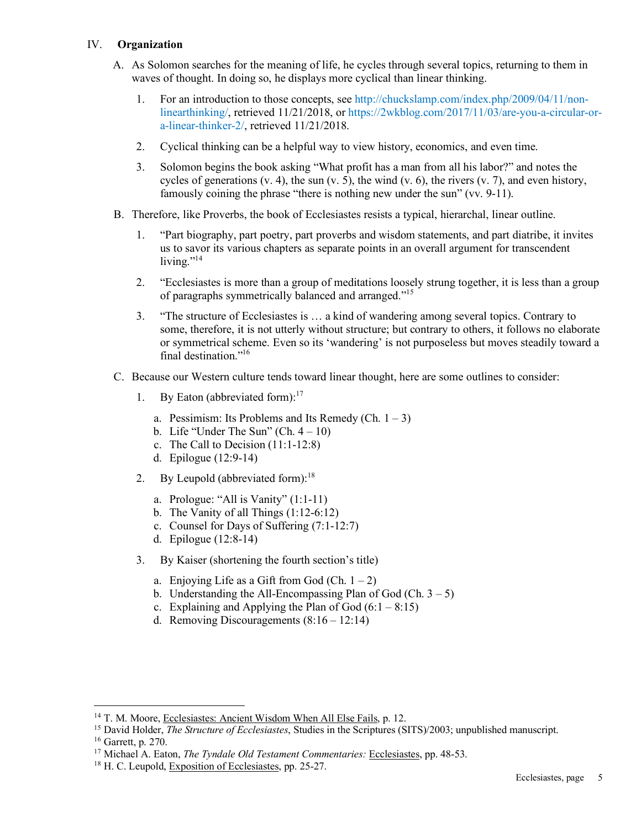### IV. **Organization**

- A. As Solomon searches for the meaning of life, he cycles through several topics, returning to them in waves of thought. In doing so, he displays more cyclical than linear thinking.
	- 1. For an introduction to those concepts, see http://chuckslamp.com/index.php/2009/04/11/nonlinearthinking/, retrieved 11/21/2018, or https://2wkblog.com/2017/11/03/are-you-a-circular-ora-linear-thinker-2/, retrieved 11/21/2018.
	- 2. Cyclical thinking can be a helpful way to view history, economics, and even time.
	- 3. Solomon begins the book asking "What profit has a man from all his labor?" and notes the cycles of generations  $(v, 4)$ , the sun  $(v, 5)$ , the wind  $(v, 6)$ , the rivers  $(v, 7)$ , and even history, famously coining the phrase "there is nothing new under the sun" (vv. 9-11).
- B. Therefore, like Proverbs, the book of Ecclesiastes resists a typical, hierarchal, linear outline.
	- 1. "Part biography, part poetry, part proverbs and wisdom statements, and part diatribe, it invites us to savor its various chapters as separate points in an overall argument for transcendent living." $14$
	- 2. "Ecclesiastes is more than a group of meditations loosely strung together, it is less than a group of paragraphs symmetrically balanced and arranged."15
	- 3. "The structure of Ecclesiastes is … a kind of wandering among several topics. Contrary to some, therefore, it is not utterly without structure; but contrary to others, it follows no elaborate or symmetrical scheme. Even so its 'wandering' is not purposeless but moves steadily toward a final destination."16
- C. Because our Western culture tends toward linear thought, here are some outlines to consider:
	- 1. By Eaton (abbreviated form):<sup>17</sup>
		- a. Pessimism: Its Problems and Its Remedy (Ch.  $1 3$ )
		- b. Life "Under The Sun" (Ch.  $4 10$ )
		- c. The Call to Decision (11:1-12:8)
		- d. Epilogue (12:9-14)
	- 2. By Leupold (abbreviated form):<sup>18</sup>
		- a. Prologue: "All is Vanity"  $(1:1-11)$
		- b. The Vanity of all Things  $(1:12-6:12)$
		- c. Counsel for Days of Suffering (7:1-12:7)
		- d. Epilogue (12:8-14)
	- 3. By Kaiser (shortening the fourth section's title)
		- a. Enjoying Life as a Gift from God (Ch.  $1 2$ )
		- b. Understanding the All-Encompassing Plan of God (Ch.  $3 5$ )
		- c. Explaining and Applying the Plan of God  $(6:1 8:15)$
		- d. Removing Discouragements  $(8:16 12:14)$

<sup>&</sup>lt;sup>14</sup> T. M. Moore, Ecclesiastes: Ancient Wisdom When All Else Fails, p. 12.

<sup>15</sup> David Holder, *The Structure of Ecclesiastes*, Studies in the Scriptures (SITS)/2003; unpublished manuscript. <sup>16</sup> Garrett, p. 270.

<sup>&</sup>lt;sup>17</sup> Michael A. Eaton, *The Tyndale Old Testament Commentaries:* Ecclesiastes, pp. 48-53.

<sup>18</sup> H. C. Leupold, Exposition of Ecclesiastes, pp. 25-27.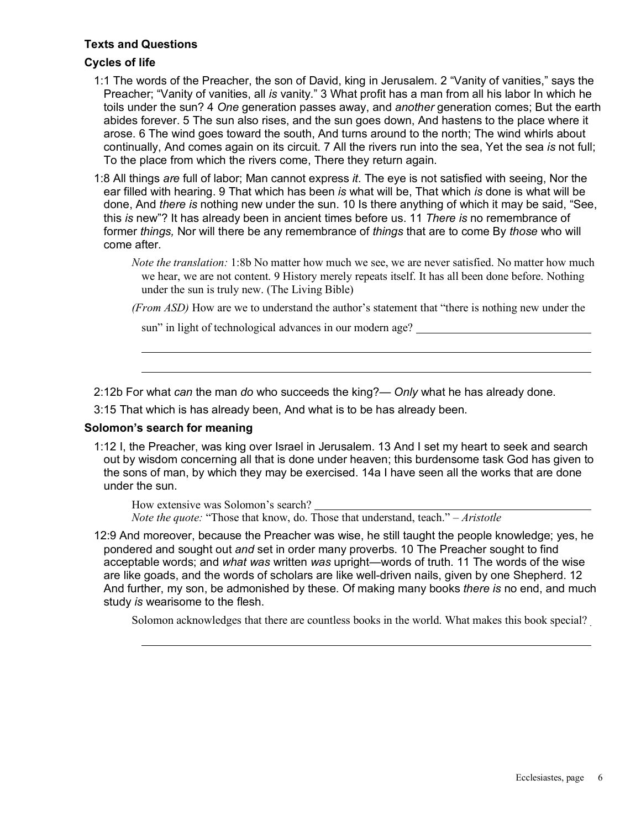### **Texts and Questions**

### **Cycles of life**

- 1:1 The words of the Preacher, the son of David, king in Jerusalem. 2 "Vanity of vanities," says the Preacher; "Vanity of vanities, all *is* vanity." 3 What profit has a man from all his labor In which he toils under the sun? 4 *One* generation passes away, and *another* generation comes; But the earth abides forever. 5 The sun also rises, and the sun goes down, And hastens to the place where it arose. 6 The wind goes toward the south, And turns around to the north; The wind whirls about continually, And comes again on its circuit. 7 All the rivers run into the sea, Yet the sea *is* not full; To the place from which the rivers come, There they return again.
- 1:8 All things *are* full of labor; Man cannot express *it*. The eye is not satisfied with seeing, Nor the ear filled with hearing. 9 That which has been *is* what will be, That which *is* done is what will be done, And *there is* nothing new under the sun. 10 Is there anything of which it may be said, "See, this *is* new"? It has already been in ancient times before us. 11 *There is* no remembrance of former *things,* Nor will there be any remembrance of *things* that are to come By *those* who will come after.
	- *Note the translation:* 1:8b No matter how much we see, we are never satisfied. No matter how much we hear, we are not content. 9 History merely repeats itself. It has all been done before. Nothing under the sun is truly new. (The Living Bible)
	- *(From ASD)* How are we to understand the author's statement that "there is nothing new under the

sun" in light of technological advances in our modern age?

2:12b For what *can* the man *do* who succeeds the king?— *Only* what he has already done.

3:15 That which is has already been, And what is to be has already been.

### **Solomon's search for meaning**

1:12 I, the Preacher, was king over Israel in Jerusalem. 13 And I set my heart to seek and search out by wisdom concerning all that is done under heaven; this burdensome task God has given to the sons of man, by which they may be exercised. 14a I have seen all the works that are done under the sun.

How extensive was Solomon's search? *Note the quote:* "Those that know, do. Those that understand, teach." – *Aristotle*

12:9 And moreover, because the Preacher was wise, he still taught the people knowledge; yes, he pondered and sought out *and* set in order many proverbs. 10 The Preacher sought to find acceptable words; and *what was* written *was* upright—words of truth. 11 The words of the wise are like goads, and the words of scholars are like well-driven nails, given by one Shepherd. 12 And further, my son, be admonished by these. Of making many books *there is* no end, and much study *is* wearisome to the flesh.

Solomon acknowledges that there are countless books in the world. What makes this book special?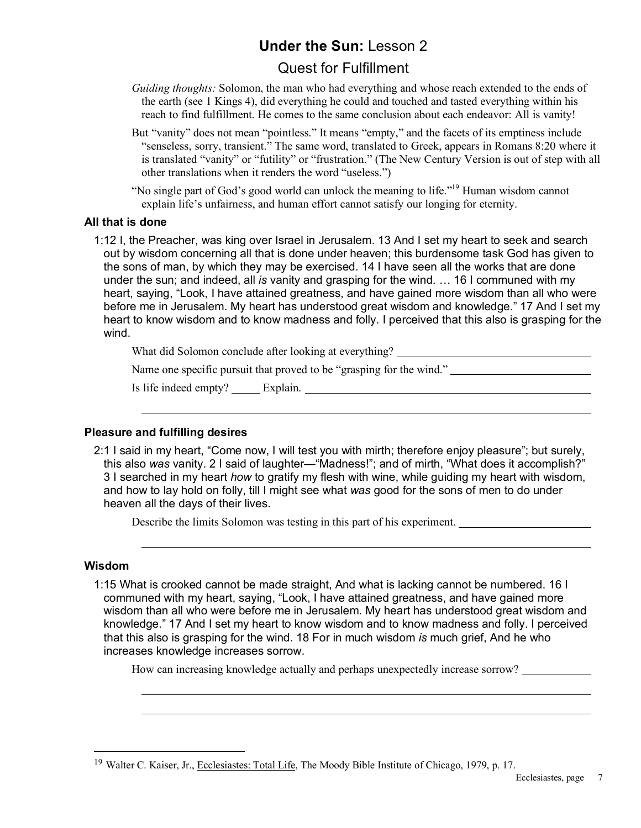### Quest for Fulfillment

- *Guiding thoughts:* Solomon, the man who had everything and whose reach extended to the ends of the earth (see 1 Kings 4), did everything he could and touched and tasted everything within his reach to find fulfillment. He comes to the same conclusion about each endeavor: All is vanity!
- But "vanity" does not mean "pointless." It means "empty," and the facets of its emptiness include "senseless, sorry, transient." The same word, translated to Greek, appears in Romans 8:20 where it is translated "vanity" or "futility" or "frustration." (The New Century Version is out of step with all other translations when it renders the word "useless.")
- "No single part of God's good world can unlock the meaning to life."19 Human wisdom cannot explain life's unfairness, and human effort cannot satisfy our longing for eternity.

### **All that is done**

1:12 I, the Preacher, was king over Israel in Jerusalem. 13 And I set my heart to seek and search out by wisdom concerning all that is done under heaven; this burdensome task God has given to the sons of man, by which they may be exercised. 14 I have seen all the works that are done under the sun; and indeed, all *is* vanity and grasping for the wind. … 16 I communed with my heart, saying, "Look, I have attained greatness, and have gained more wisdom than all who were before me in Jerusalem. My heart has understood great wisdom and knowledge." 17 And I set my heart to know wisdom and to know madness and folly. I perceived that this also is grasping for the wind.

What did Solomon conclude after looking at everything?

Name one specific pursuit that proved to be "grasping for the wind."

Is life indeed empty? Explain.

### **Pleasure and fulfilling desires**

2:1 I said in my heart, "Come now, I will test you with mirth; therefore enjoy pleasure"; but surely, this also *was* vanity. 2 I said of laughter—"Madness!"; and of mirth, "What does it accomplish?" 3 I searched in my heart *how* to gratify my flesh with wine, while guiding my heart with wisdom, and how to lay hold on folly, till I might see what *was* good for the sons of men to do under heaven all the days of their lives.

Describe the limits Solomon was testing in this part of his experiment.

### **Wisdom**

1:15 What is crooked cannot be made straight, And what is lacking cannot be numbered. 16 I communed with my heart, saying, "Look, I have attained greatness, and have gained more wisdom than all who were before me in Jerusalem. My heart has understood great wisdom and knowledge." 17 And I set my heart to know wisdom and to know madness and folly. I perceived that this also is grasping for the wind. 18 For in much wisdom *is* much grief, And he who increases knowledge increases sorrow.

How can increasing knowledge actually and perhaps unexpectedly increase sorrow?

<sup>&</sup>lt;sup>19</sup> Walter C. Kaiser, Jr., Ecclesiastes: Total Life, The Moody Bible Institute of Chicago, 1979, p. 17.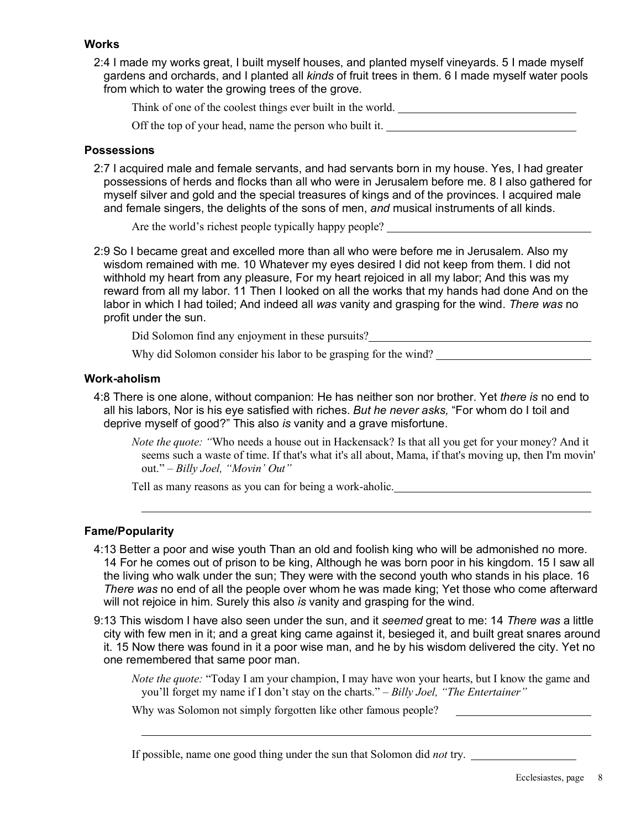### **Works**

2:4 I made my works great, I built myself houses, and planted myself vineyards. 5 I made myself gardens and orchards, and I planted all *kinds* of fruit trees in them. 6 I made myself water pools from which to water the growing trees of the grove.

Think of one of the coolest things ever built in the world.

Off the top of your head, name the person who built it.

### **Possessions**

2:7 I acquired male and female servants, and had servants born in my house. Yes, I had greater possessions of herds and flocks than all who were in Jerusalem before me. 8 I also gathered for myself silver and gold and the special treasures of kings and of the provinces. I acquired male and female singers, the delights of the sons of men, *and* musical instruments of all kinds.

Are the world's richest people typically happy people?

2:9 So I became great and excelled more than all who were before me in Jerusalem. Also my wisdom remained with me. 10 Whatever my eyes desired I did not keep from them. I did not withhold my heart from any pleasure, For my heart rejoiced in all my labor; And this was my reward from all my labor. 11 Then I looked on all the works that my hands had done And on the labor in which I had toiled; And indeed all *was* vanity and grasping for the wind. *There was* no profit under the sun.

Did Solomon find any enjoyment in these pursuits?<br>
<u>Did Solomon find any enjoyment in these pursuits?</u>

Why did Solomon consider his labor to be grasping for the wind?

### **Work-aholism**

- 4:8 There is one alone, without companion: He has neither son nor brother. Yet *there is* no end to all his labors, Nor is his eye satisfied with riches. *But he never asks,* "For whom do I toil and deprive myself of good?" This also *is* vanity and a grave misfortune.
	- *Note the quote: "*Who needs a house out in Hackensack? Is that all you get for your money? And it seems such a waste of time. If that's what it's all about, Mama, if that's moving up, then I'm movin' out." – *Billy Joel, "Movin' Out"*

Tell as many reasons as you can for being a work-aholic.

### **Fame/Popularity**

- 4:13 Better a poor and wise youth Than an old and foolish king who will be admonished no more. 14 For he comes out of prison to be king, Although he was born poor in his kingdom. 15 I saw all the living who walk under the sun; They were with the second youth who stands in his place. 16 *There was* no end of all the people over whom he was made king; Yet those who come afterward will not rejoice in him. Surely this also *is* vanity and grasping for the wind.
- 9:13 This wisdom I have also seen under the sun, and it *seemed* great to me: 14 *There was* a little city with few men in it; and a great king came against it, besieged it, and built great snares around it. 15 Now there was found in it a poor wise man, and he by his wisdom delivered the city. Yet no one remembered that same poor man.

*Note the quote:* "Today I am your champion, I may have won your hearts, but I know the game and you'll forget my name if I don't stay on the charts." – *Billy Joel, "The Entertainer"*

Why was Solomon not simply forgotten like other famous people?

If possible, name one good thing under the sun that Solomon did *not* try.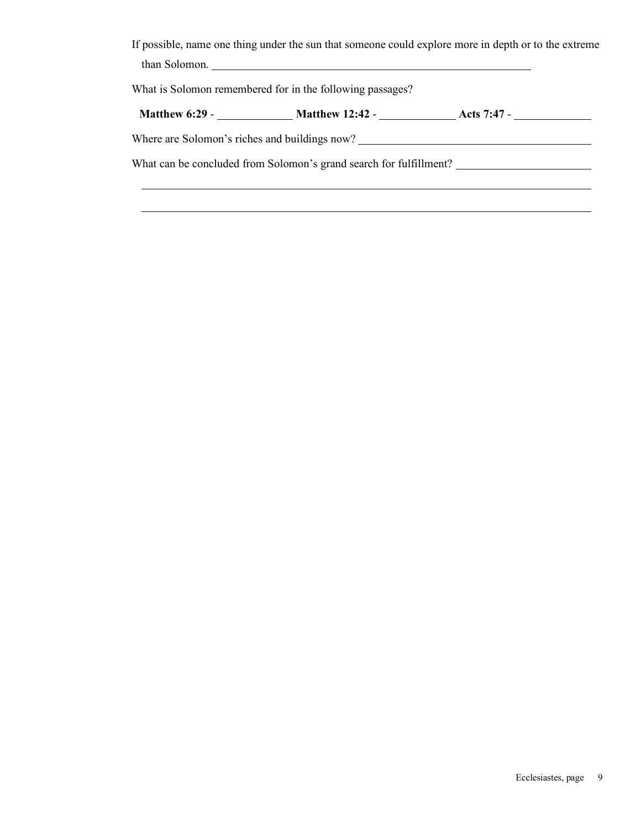|                                                                    | If possible, name one thing under the sun that someone could explore more in depth or to the extreme |
|--------------------------------------------------------------------|------------------------------------------------------------------------------------------------------|
| than Solomon.                                                      |                                                                                                      |
| What is Solomon remembered for in the following passages?          |                                                                                                      |
|                                                                    | Matthew 6:29 - Matthew 12:42 - Acts 7:47 -                                                           |
| Where are Solomon's riches and buildings now?                      |                                                                                                      |
| What can be concluded from Solomon's grand search for fulfillment? |                                                                                                      |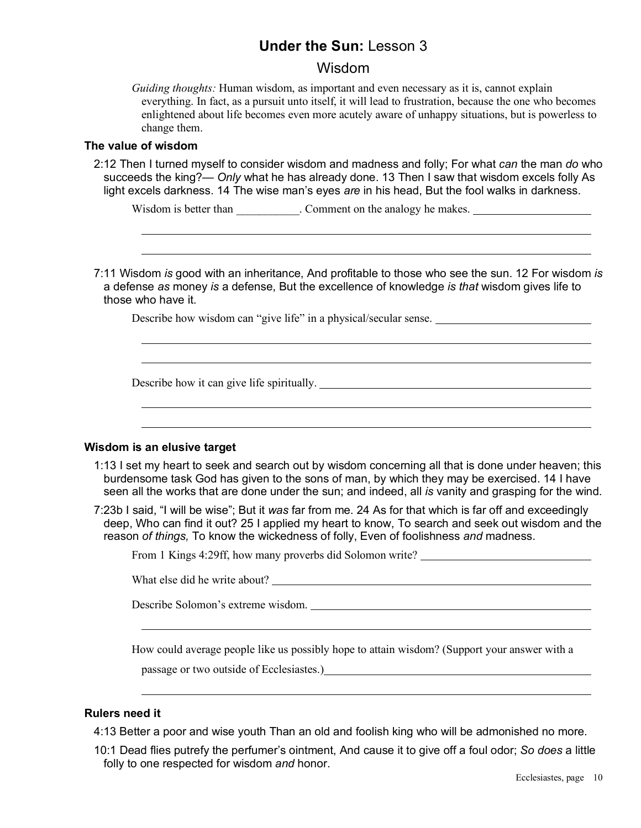### Wisdom

*Guiding thoughts:* Human wisdom, as important and even necessary as it is, cannot explain everything. In fact, as a pursuit unto itself, it will lead to frustration, because the one who becomes enlightened about life becomes even more acutely aware of unhappy situations, but is powerless to change them.

### **The value of wisdom**

2:12 Then I turned myself to consider wisdom and madness and folly; For what *can* the man *do* who succeeds the king?— *Only* what he has already done. 13 Then I saw that wisdom excels folly As light excels darkness. 14 The wise man's eyes *are* in his head, But the fool walks in darkness.

Wisdom is better than \_\_\_\_\_\_\_\_\_\_\_. Comment on the analogy he makes.

7:11 Wisdom *is* good with an inheritance, And profitable to those who see the sun. 12 For wisdom *is* a defense *as* money *is* a defense, But the excellence of knowledge *is that* wisdom gives life to those who have it.

Describe how wisdom can "give life" in a physical/secular sense.

Describe how it can give life spiritually.

### **Wisdom is an elusive target**

- 1:13 I set my heart to seek and search out by wisdom concerning all that is done under heaven; this burdensome task God has given to the sons of man, by which they may be exercised. 14 I have seen all the works that are done under the sun; and indeed, all *is* vanity and grasping for the wind.
- 7:23b I said, "I will be wise"; But it *was* far from me. 24 As for that which is far off and exceedingly deep, Who can find it out? 25 I applied my heart to know, To search and seek out wisdom and the reason *of things,* To know the wickedness of folly, Even of foolishness *and* madness.

From 1 Kings 4:29ff, how many proverbs did Solomon write?

What else did he write about?

Describe Solomon's extreme wisdom.

How could average people like us possibly hope to attain wisdom? (Support your answer with a

passage or two outside of Ecclesiastes.)

### **Rulers need it**

4:13 Better a poor and wise youth Than an old and foolish king who will be admonished no more.

10:1 Dead flies putrefy the perfumer's ointment, And cause it to give off a foul odor; *So does* a little folly to one respected for wisdom *and* honor.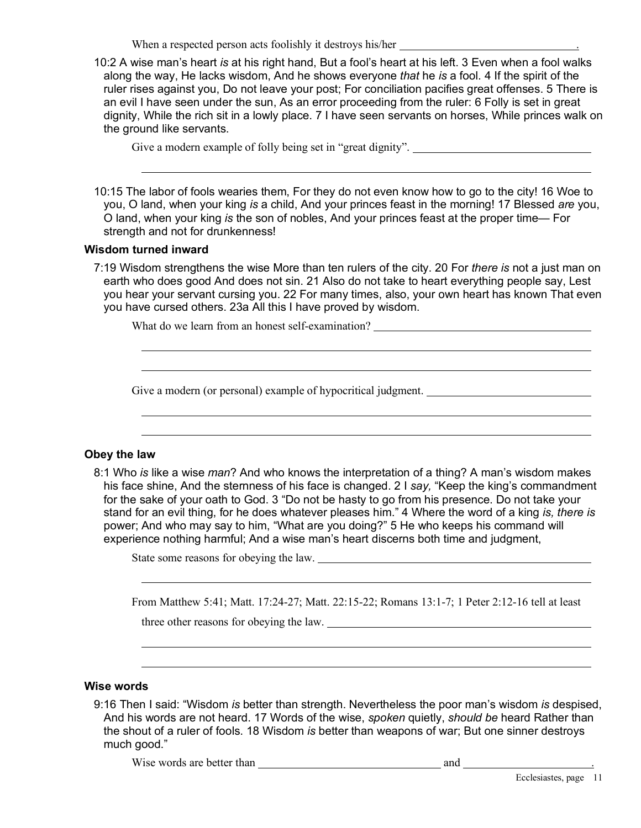When a respected person acts foolishly it destroys his/her \_\_\_\_\_\_\_\_\_\_\_\_\_\_\_\_\_\_\_\_\_\_

10:2 A wise man's heart *is* at his right hand, But a fool's heart at his left. 3 Even when a fool walks along the way, He lacks wisdom, And he shows everyone *that* he *is* a fool. 4 If the spirit of the ruler rises against you, Do not leave your post; For conciliation pacifies great offenses. 5 There is an evil I have seen under the sun, As an error proceeding from the ruler: 6 Folly is set in great dignity, While the rich sit in a lowly place. 7 I have seen servants on horses, While princes walk on the ground like servants.

Give a modern example of folly being set in "great dignity".

10:15 The labor of fools wearies them, For they do not even know how to go to the city! 16 Woe to you, O land, when your king *is* a child, And your princes feast in the morning! 17 Blessed *are* you, O land, when your king *is* the son of nobles, And your princes feast at the proper time— For strength and not for drunkenness!

### **Wisdom turned inward**

7:19 Wisdom strengthens the wise More than ten rulers of the city. 20 For *there is* not a just man on earth who does good And does not sin. 21 Also do not take to heart everything people say, Lest you hear your servant cursing you. 22 For many times, also, your own heart has known That even you have cursed others. 23a All this I have proved by wisdom.

What do we learn from an honest self-examination?

Give a modern (or personal) example of hypocritical judgment.

### **Obey the law**

8:1 Who *is* like a wise *man*? And who knows the interpretation of a thing? A man's wisdom makes his face shine, And the sternness of his face is changed. 2 I *say,* "Keep the king's commandment for the sake of your oath to God. 3 "Do not be hasty to go from his presence. Do not take your stand for an evil thing, for he does whatever pleases him." 4 Where the word of a king *is, there is* power; And who may say to him, "What are you doing?" 5 He who keeps his command will experience nothing harmful; And a wise man's heart discerns both time and judgment,

State some reasons for obeying the law.

From Matthew 5:41; Matt. 17:24-27; Matt. 22:15-22; Romans 13:1-7; 1 Peter 2:12-16 tell at least

three other reasons for obeying the law.

### **Wise words**

9:16 Then I said: "Wisdom *is* better than strength. Nevertheless the poor man's wisdom *is* despised, And his words are not heard. 17 Words of the wise, *spoken* quietly, *should be* heard Rather than the shout of a ruler of fools. 18 Wisdom *is* better than weapons of war; But one sinner destroys much good."

Wise words are better than and .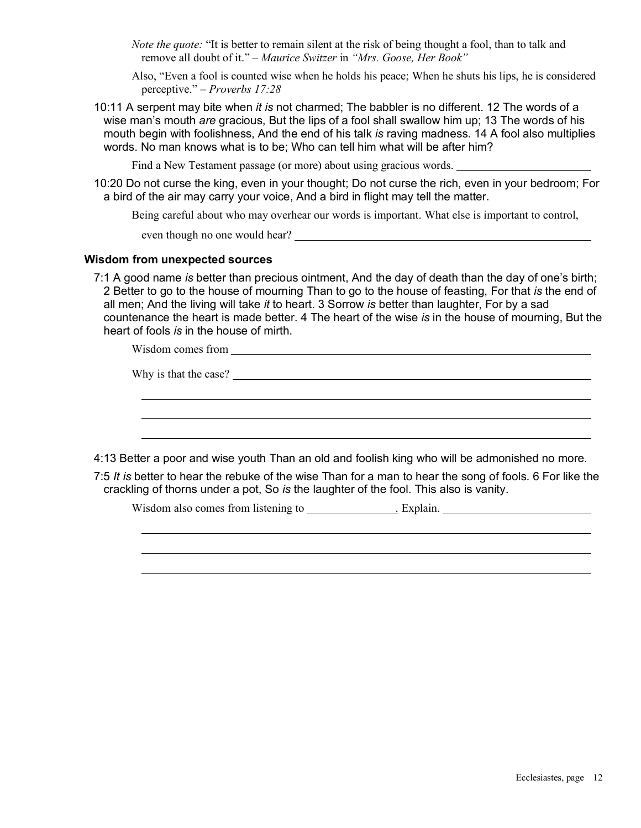*Note the quote:* "It is better to remain silent at the risk of being thought a fool, than to talk and remove all doubt of it." *– Maurice Switzer* in *"Mrs. Goose, Her Book"*

Also, "Even a fool is counted wise when he holds his peace; When he shuts his lips, he is considered perceptive." – *Proverbs 17:28*

10:11 A serpent may bite when *it is* not charmed; The babbler is no different. 12 The words of a wise man's mouth *are* gracious, But the lips of a fool shall swallow him up; 13 The words of his mouth begin with foolishness, And the end of his talk *is* raving madness. 14 A fool also multiplies words. No man knows what is to be; Who can tell him what will be after him?

Find a New Testament passage (or more) about using gracious words.

10:20 Do not curse the king, even in your thought; Do not curse the rich, even in your bedroom; For a bird of the air may carry your voice, And a bird in flight may tell the matter.

Being careful about who may overhear our words is important. What else is important to control,

even though no one would hear?

#### **Wisdom from unexpected sources**

7:1 A good name *is* better than precious ointment, And the day of death than the day of one's birth; 2 Better to go to the house of mourning Than to go to the house of feasting, For that *is* the end of all men; And the living will take *it* to heart. 3 Sorrow *is* better than laughter, For by a sad countenance the heart is made better. 4 The heart of the wise *is* in the house of mourning, But the heart of fools *is* in the house of mirth.

Wisdom comes from

| Why is that the case? |  |
|-----------------------|--|
|                       |  |

4:13 Better a poor and wise youth Than an old and foolish king who will be admonished no more.

7:5 *It is* better to hear the rebuke of the wise Than for a man to hear the song of fools. 6 For like the crackling of thorns under a pot, So *is* the laughter of the fool. This also is vanity.

Wisdom also comes from listening to . Explain.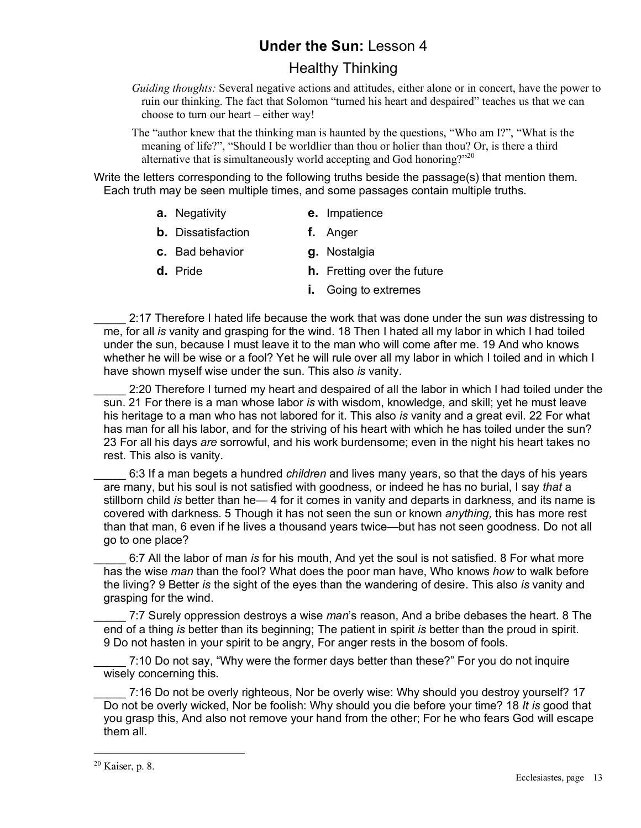### Healthy Thinking

*Guiding thoughts:* Several negative actions and attitudes, either alone or in concert, have the power to ruin our thinking. The fact that Solomon "turned his heart and despaired" teaches us that we can choose to turn our heart – either way!

The "author knew that the thinking man is haunted by the questions, "Who am I?", "What is the meaning of life?", "Should I be worldlier than thou or holier than thou? Or, is there a third alternative that is simultaneously world accepting and God honoring?"20

Write the letters corresponding to the following truths beside the passage(s) that mention them. Each truth may be seen multiple times, and some passages contain multiple truths.

- **a.** Negativity **e.** Impatience
- **b.** Dissatisfaction **f.** Anger
- **c.** Bad behavior **g.** Nostalgia
- **d.** Pride **h.** Fretting over the future
	- **i.** Going to extremes

\_\_\_\_\_ 2:17 Therefore I hated life because the work that was done under the sun *was* distressing to me, for all *is* vanity and grasping for the wind. 18 Then I hated all my labor in which I had toiled under the sun, because I must leave it to the man who will come after me. 19 And who knows whether he will be wise or a fool? Yet he will rule over all my labor in which I toiled and in which I have shown myself wise under the sun. This also *is* vanity.

\_\_\_\_\_ 2:20 Therefore I turned my heart and despaired of all the labor in which I had toiled under the sun. 21 For there is a man whose labor *is* with wisdom, knowledge, and skill; yet he must leave his heritage to a man who has not labored for it. This also *is* vanity and a great evil. 22 For what has man for all his labor, and for the striving of his heart with which he has toiled under the sun? 23 For all his days *are* sorrowful, and his work burdensome; even in the night his heart takes no rest. This also is vanity.

\_\_\_\_\_ 6:3 If a man begets a hundred *children* and lives many years, so that the days of his years are many, but his soul is not satisfied with goodness, or indeed he has no burial, I say *that* a stillborn child *is* better than he— 4 for it comes in vanity and departs in darkness, and its name is covered with darkness. 5 Though it has not seen the sun or known *anything,* this has more rest than that man, 6 even if he lives a thousand years twice—but has not seen goodness. Do not all go to one place?

\_\_\_\_\_ 6:7 All the labor of man *is* for his mouth, And yet the soul is not satisfied. 8 For what more has the wise *man* than the fool? What does the poor man have, Who knows *how* to walk before the living? 9 Better *is* the sight of the eyes than the wandering of desire. This also *is* vanity and grasping for the wind.

\_\_\_\_\_ 7:7 Surely oppression destroys a wise *man*'s reason, And a bribe debases the heart. 8 The end of a thing *is* better than its beginning; The patient in spirit *is* better than the proud in spirit. 9 Do not hasten in your spirit to be angry, For anger rests in the bosom of fools.

7:10 Do not say, "Why were the former days better than these?" For you do not inquire wisely concerning this.

\_\_\_\_\_ 7:16 Do not be overly righteous, Nor be overly wise: Why should you destroy yourself? 17 Do not be overly wicked, Nor be foolish: Why should you die before your time? 18 *It is* good that you grasp this, And also not remove your hand from the other; For he who fears God will escape them all.

 <sup>20</sup> Kaiser, p. 8.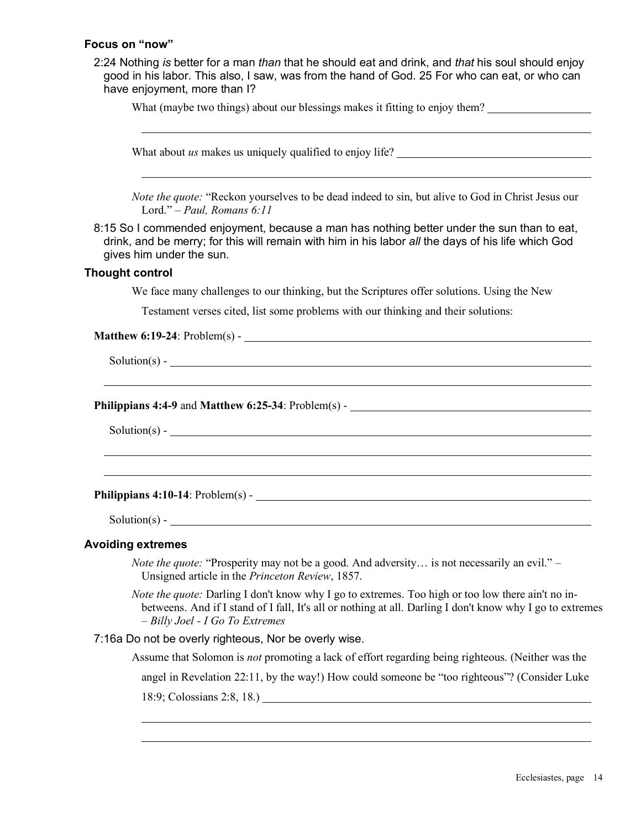| Focus on "now"                                                                                                                                                                                                                                    |
|---------------------------------------------------------------------------------------------------------------------------------------------------------------------------------------------------------------------------------------------------|
| 2:24 Nothing is better for a man than that he should eat and drink, and that his soul should enjoy<br>good in his labor. This also, I saw, was from the hand of God. 25 For who can eat, or who can<br>have enjoyment, more than I?               |
| What (maybe two things) about our blessings makes it fitting to enjoy them?                                                                                                                                                                       |
| What about us makes us uniquely qualified to enjoy life? ________________________                                                                                                                                                                 |
| <i>Note the quote:</i> "Reckon yourselves to be dead indeed to sin, but alive to God in Christ Jesus our<br>Lord." - Paul, Romans $6:11$                                                                                                          |
| 8:15 So I commended enjoyment, because a man has nothing better under the sun than to eat,<br>drink, and be merry; for this will remain with him in his labor all the days of his life which God<br>gives him under the sun.                      |
| <b>Thought control</b>                                                                                                                                                                                                                            |
| We face many challenges to our thinking, but the Scriptures offer solutions. Using the New                                                                                                                                                        |
| Testament verses cited, list some problems with our thinking and their solutions:                                                                                                                                                                 |
| <b>Matthew 6:19-24:</b> Problem(s) - $\qquad \qquad$                                                                                                                                                                                              |
| $Solution(s) -$                                                                                                                                                                                                                                   |
| <b>Philippians 4:4-9 and Matthew 6:25-34:</b> Problem(s) - $\qquad \qquad$<br>$Solution(s) -$                                                                                                                                                     |
| Philippians $4:10-14$ : $Problem(s) -$<br>$Solution(s) -$                                                                                                                                                                                         |
| <b>Avoiding extremes</b>                                                                                                                                                                                                                          |
| <i>Note the quote:</i> "Prosperity may not be a good. And adversity is not necessarily an evil." –<br>Unsigned article in the Princeton Review, 1857.                                                                                             |
| Note the quote: Darling I don't know why I go to extremes. Too high or too low there ain't no in-<br>betweens. And if I stand of I fall, It's all or nothing at all. Darling I don't know why I go to extremes<br>- Billy Joel - I Go To Extremes |
| 7:16a Do not be overly righteous, Nor be overly wise.                                                                                                                                                                                             |
| Assume that Solomon is not promoting a lack of effort regarding being righteous. (Neither was the                                                                                                                                                 |
| angel in Revelation 22:11, by the way!) How could someone be "too righteous"? (Consider Luke                                                                                                                                                      |
|                                                                                                                                                                                                                                                   |
|                                                                                                                                                                                                                                                   |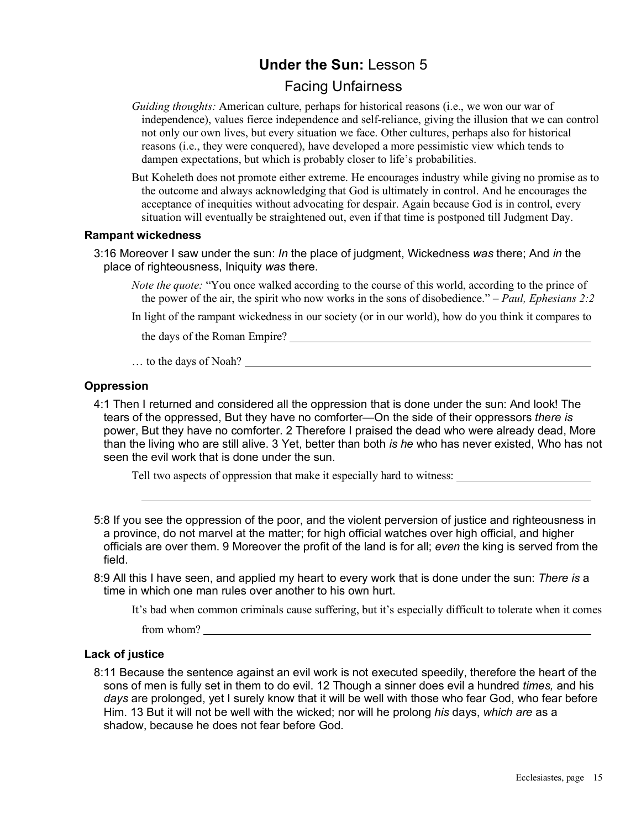### Facing Unfairness

- *Guiding thoughts:* American culture, perhaps for historical reasons (i.e., we won our war of independence), values fierce independence and self-reliance, giving the illusion that we can control not only our own lives, but every situation we face. Other cultures, perhaps also for historical reasons (i.e., they were conquered), have developed a more pessimistic view which tends to dampen expectations, but which is probably closer to life's probabilities.
- But Koheleth does not promote either extreme. He encourages industry while giving no promise as to the outcome and always acknowledging that God is ultimately in control. And he encourages the acceptance of inequities without advocating for despair. Again because God is in control, every situation will eventually be straightened out, even if that time is postponed till Judgment Day.

### **Rampant wickedness**

- 3:16 Moreover I saw under the sun: *In* the place of judgment, Wickedness *was* there; And *in* the place of righteousness, Iniquity *was* there.
	- *Note the quote:* "You once walked according to the course of this world, according to the prince of the power of the air, the spirit who now works in the sons of disobedience." *– Paul, Ephesians 2:2*
	- In light of the rampant wickedness in our society (or in our world), how do you think it compares to

the days of the Roman Empire?

… to the days of Noah?

### **Oppression**

4:1 Then I returned and considered all the oppression that is done under the sun: And look! The tears of the oppressed, But they have no comforter—On the side of their oppressors *there is* power, But they have no comforter. 2 Therefore I praised the dead who were already dead, More than the living who are still alive. 3 Yet, better than both *is he* who has never existed, Who has not seen the evil work that is done under the sun.

Tell two aspects of oppression that make it especially hard to witness:

- 5:8 If you see the oppression of the poor, and the violent perversion of justice and righteousness in a province, do not marvel at the matter; for high official watches over high official, and higher officials are over them. 9 Moreover the profit of the land is for all; *even* the king is served from the field.
- 8:9 All this I have seen, and applied my heart to every work that is done under the sun: *There is* a time in which one man rules over another to his own hurt.

It's bad when common criminals cause suffering, but it's especially difficult to tolerate when it comes

from whom?

### **Lack of justice**

8:11 Because the sentence against an evil work is not executed speedily, therefore the heart of the sons of men is fully set in them to do evil. 12 Though a sinner does evil a hundred *times,* and his *days* are prolonged, yet I surely know that it will be well with those who fear God, who fear before Him. 13 But it will not be well with the wicked; nor will he prolong *his* days, *which are* as a shadow, because he does not fear before God.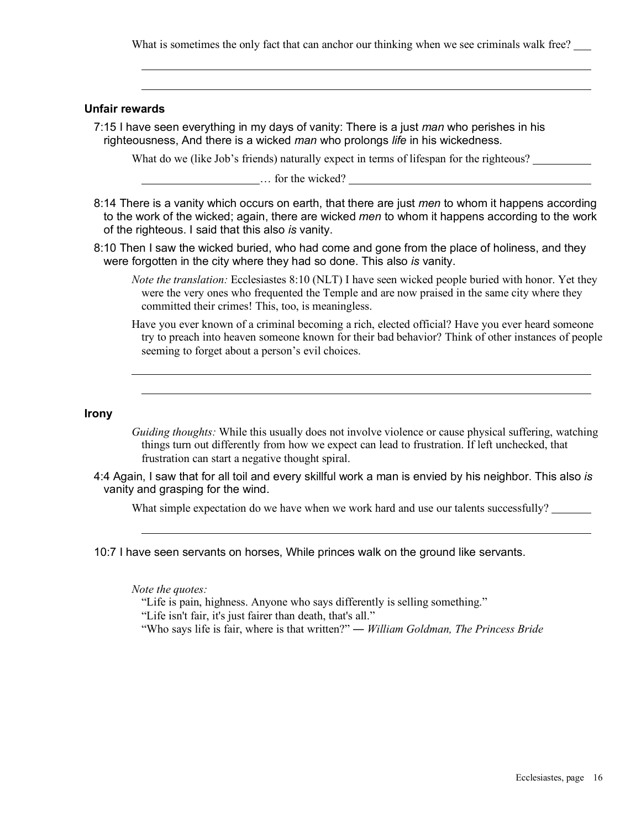What is sometimes the only fact that can anchor our thinking when we see criminals walk free?

#### **Unfair rewards**

7:15 I have seen everything in my days of vanity: There is a just *man* who perishes in his righteousness, And there is a wicked *man* who prolongs *life* in his wickedness.

What do we (like Job's friends) naturally expect in terms of lifespan for the righteous?

… for the wicked?

- 8:14 There is a vanity which occurs on earth, that there are just *men* to whom it happens according to the work of the wicked; again, there are wicked *men* to whom it happens according to the work of the righteous. I said that this also *is* vanity.
- 8:10 Then I saw the wicked buried, who had come and gone from the place of holiness, and they were forgotten in the city where they had so done. This also *is* vanity.
	- *Note the translation:* Ecclesiastes 8:10 (NLT) I have seen wicked people buried with honor. Yet they were the very ones who frequented the Temple and are now praised in the same city where they committed their crimes! This, too, is meaningless.
	- Have you ever known of a criminal becoming a rich, elected official? Have you ever heard someone try to preach into heaven someone known for their bad behavior? Think of other instances of people seeming to forget about a person's evil choices.

#### **Irony**

- *Guiding thoughts:* While this usually does not involve violence or cause physical suffering, watching things turn out differently from how we expect can lead to frustration. If left unchecked, that frustration can start a negative thought spiral.
- 4:4 Again, I saw that for all toil and every skillful work a man is envied by his neighbor. This also *is* vanity and grasping for the wind.

What simple expectation do we have when we work hard and use our talents successfully?

10:7 I have seen servants on horses, While princes walk on the ground like servants.

*Note the quotes:* 

"Life is pain, highness. Anyone who says differently is selling something."

- "Life isn't fair, it's just fairer than death, that's all."
- "Who says life is fair, where is that written?" *― William Goldman, The Princess Bride*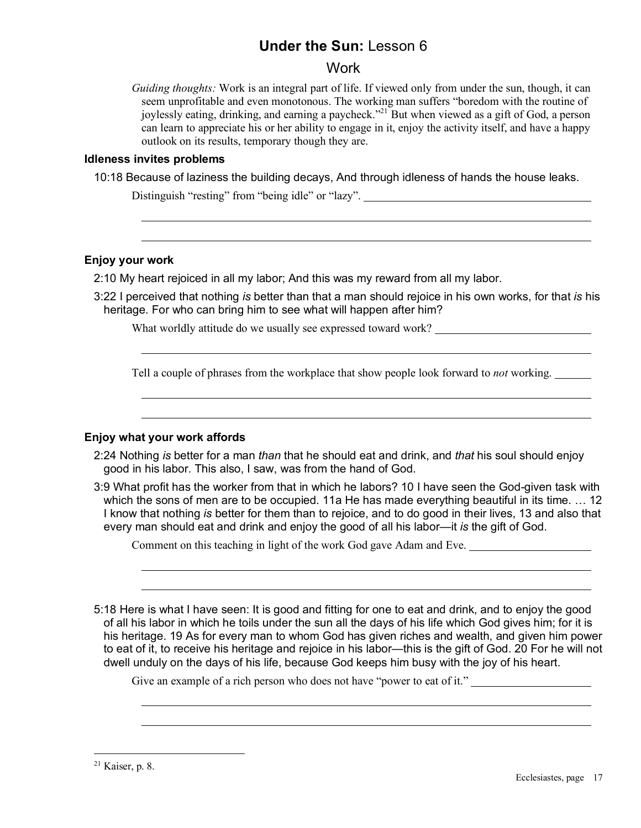### **Work**

*Guiding thoughts:* Work is an integral part of life. If viewed only from under the sun, though, it can seem unprofitable and even monotonous. The working man suffers "boredom with the routine of joylessly eating, drinking, and earning a paycheck."<sup>21</sup> But when viewed as a gift of God, a person can learn to appreciate his or her ability to engage in it, enjoy the activity itself, and have a happy outlook on its results, temporary though they are.

### **Idleness invites problems**

10:18 Because of laziness the building decays, And through idleness of hands the house leaks.

Distinguish "resting" from "being idle" or "lazy".

### **Enjoy your work**

2:10 My heart rejoiced in all my labor; And this was my reward from all my labor.

3:22 I perceived that nothing *is* better than that a man should rejoice in his own works, for that *is* his heritage. For who can bring him to see what will happen after him?

What worldly attitude do we usually see expressed toward work?

Tell a couple of phrases from the workplace that show people look forward to *not* working.

### **Enjoy what your work affords**

2:24 Nothing *is* better for a man *than* that he should eat and drink, and *that* his soul should enjoy good in his labor. This also, I saw, was from the hand of God.

3:9 What profit has the worker from that in which he labors? 10 I have seen the God-given task with which the sons of men are to be occupied. 11a He has made everything beautiful in its time. ... 12 I know that nothing *is* better for them than to rejoice, and to do good in their lives, 13 and also that every man should eat and drink and enjoy the good of all his labor—it *is* the gift of God.

Comment on this teaching in light of the work God gave Adam and Eve.

5:18 Here is what I have seen: It is good and fitting for one to eat and drink, and to enjoy the good of all his labor in which he toils under the sun all the days of his life which God gives him; for it is his heritage. 19 As for every man to whom God has given riches and wealth, and given him power to eat of it, to receive his heritage and rejoice in his labor—this is the gift of God. 20 For he will not dwell unduly on the days of his life, because God keeps him busy with the joy of his heart.

Give an example of a rich person who does not have "power to eat of it."

 <sup>21</sup> Kaiser, p. 8.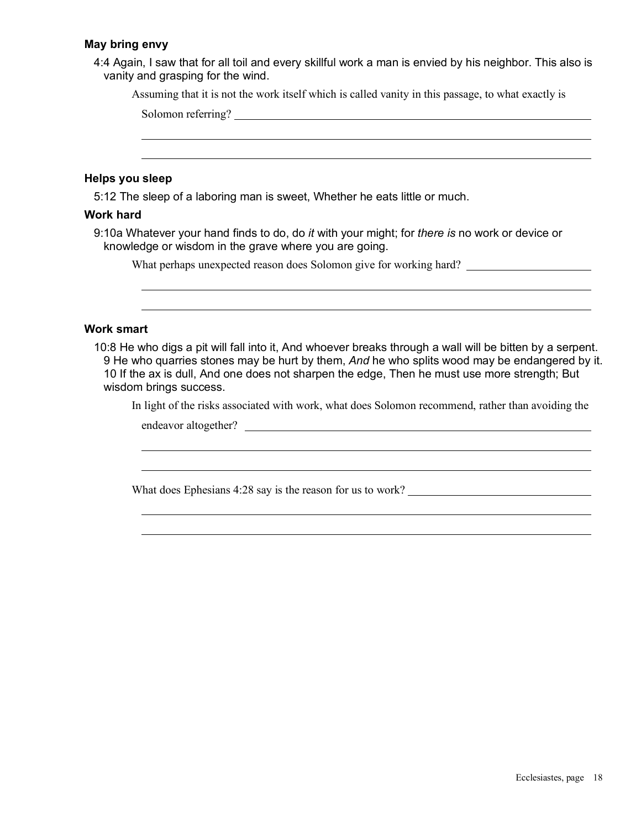#### **May bring envy**

4:4 Again, I saw that for all toil and every skillful work a man is envied by his neighbor. This also is vanity and grasping for the wind.

Assuming that it is not the work itself which is called vanity in this passage, to what exactly is

|                  | Solomon referring?                                                         |  |
|------------------|----------------------------------------------------------------------------|--|
|                  |                                                                            |  |
| Helps you sleep  |                                                                            |  |
|                  | 5:12 The sleep of a laboring man is sweet, Whether he eats little or much. |  |
| <b>Work hard</b> |                                                                            |  |

9:10a Whatever your hand finds to do, do *it* with your might; for *there is* no work or device or knowledge or wisdom in the grave where you are going.

What perhaps unexpected reason does Solomon give for working hard?

#### **Work smart**

10:8 He who digs a pit will fall into it, And whoever breaks through a wall will be bitten by a serpent. 9 He who quarries stones may be hurt by them, *And* he who splits wood may be endangered by it. 10 If the ax is dull, And one does not sharpen the edge, Then he must use more strength; But wisdom brings success.

In light of the risks associated with work, what does Solomon recommend, rather than avoiding the

endeavor altogether?

What does Ephesians 4:28 say is the reason for us to work?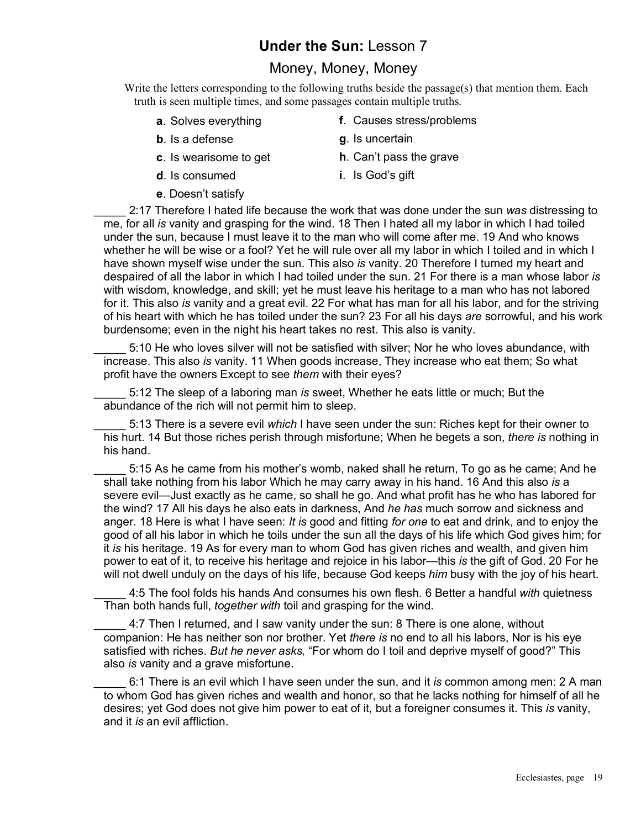### Money, Money, Money

Write the letters corresponding to the following truths beside the passage(s) that mention them. Each truth is seen multiple times, and some passages contain multiple truths.

- **a**. Solves everything
- **b**. Is a defense
- **c**. Is wearisome to get
- **d**. Is consumed
- **e**. Doesn't satisfy
- **f**. Causes stress/problems
- **g**. Is uncertain
- **h**. Can't pass the grave
- **i**. Is God's gift

\_\_\_\_\_ 2:17 Therefore I hated life because the work that was done under the sun *was* distressing to me, for all *is* vanity and grasping for the wind. 18 Then I hated all my labor in which I had toiled under the sun, because I must leave it to the man who will come after me. 19 And who knows whether he will be wise or a fool? Yet he will rule over all my labor in which I toiled and in which I have shown myself wise under the sun. This also *is* vanity. 20 Therefore I turned my heart and despaired of all the labor in which I had toiled under the sun. 21 For there is a man whose labor *is* with wisdom, knowledge, and skill; yet he must leave his heritage to a man who has not labored for it. This also *is* vanity and a great evil. 22 For what has man for all his labor, and for the striving of his heart with which he has toiled under the sun? 23 For all his days *are* sorrowful, and his work burdensome; even in the night his heart takes no rest. This also is vanity.

\_\_\_\_\_ 5:10 He who loves silver will not be satisfied with silver; Nor he who loves abundance, with increase. This also *is* vanity. 11 When goods increase, They increase who eat them; So what profit have the owners Except to see *them* with their eyes?

\_\_\_\_\_ 5:12 The sleep of a laboring man *is* sweet, Whether he eats little or much; But the abundance of the rich will not permit him to sleep.

\_\_\_\_\_ 5:13 There is a severe evil *which* I have seen under the sun: Riches kept for their owner to his hurt. 14 But those riches perish through misfortune; When he begets a son, *there is* nothing in his hand.

\_\_\_\_\_ 5:15 As he came from his mother's womb, naked shall he return, To go as he came; And he shall take nothing from his labor Which he may carry away in his hand. 16 And this also *is* a severe evil—Just exactly as he came, so shall he go. And what profit has he who has labored for the wind? 17 All his days he also eats in darkness, And *he has* much sorrow and sickness and anger. 18 Here is what I have seen: *It is* good and fitting *for one* to eat and drink, and to enjoy the good of all his labor in which he toils under the sun all the days of his life which God gives him; for it *is* his heritage. 19 As for every man to whom God has given riches and wealth, and given him power to eat of it, to receive his heritage and rejoice in his labor—this *is* the gift of God. 20 For he will not dwell unduly on the days of his life, because God keeps *him* busy with the joy of his heart.

\_\_\_\_\_ 4:5 The fool folds his hands And consumes his own flesh. 6 Better a handful *with* quietness Than both hands full, *together with* toil and grasping for the wind.

\_\_\_\_\_ 4:7 Then I returned, and I saw vanity under the sun: 8 There is one alone, without companion: He has neither son nor brother. Yet *there is* no end to all his labors, Nor is his eye satisfied with riches. *But he never asks,* "For whom do I toil and deprive myself of good?" This also *is* vanity and a grave misfortune.

\_\_\_\_\_ 6:1 There is an evil which I have seen under the sun, and it *is* common among men: 2 A man to whom God has given riches and wealth and honor, so that he lacks nothing for himself of all he desires; yet God does not give him power to eat of it, but a foreigner consumes it. This *is* vanity, and it *is* an evil affliction.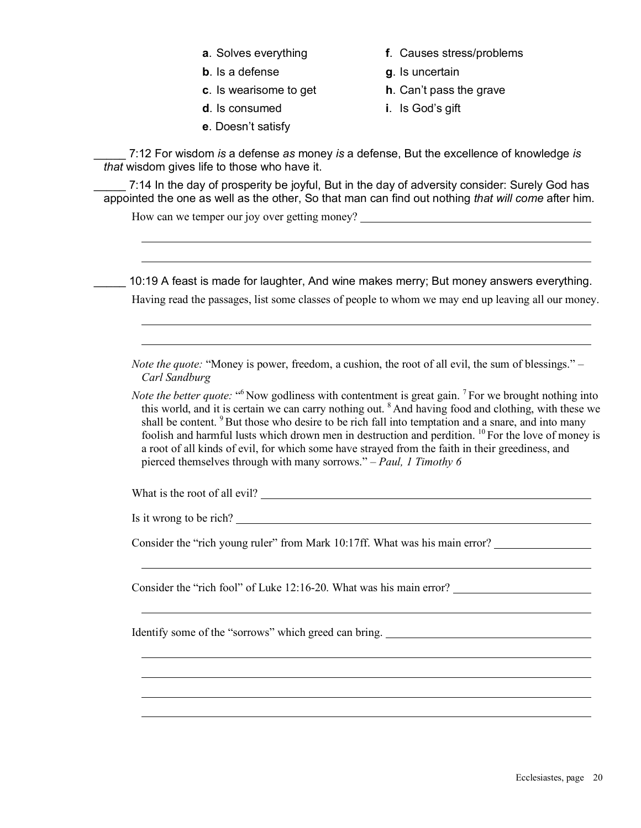- **a**. Solves everything
- **b**. Is a defense

**f**. Causes stress/problems

**h**. Can't pass the grave

- **g**. Is uncertain
- **c**. Is wearisome to get
- **d**. Is consumed

**i**. Is God's gift

- **e**. Doesn't satisfy
- \_\_\_\_\_ 7:12 For wisdom *is* a defense *as* money *is* a defense, But the excellence of knowledge *is that* wisdom gives life to those who have it.

\_\_\_\_\_ 7:14 In the day of prosperity be joyful, But in the day of adversity consider: Surely God has appointed the one as well as the other, So that man can find out nothing *that will come* after him.

How can we temper our joy over getting money?

10:19 A feast is made for laughter, And wine makes merry; But money answers everything. Having read the passages, list some classes of people to whom we may end up leaving all our money.

*Note the quote: "Money is power, freedom, a cushion, the root of all evil, the sum of blessings." – Carl Sandburg*

*Note the better quote:* "<sup>6</sup> Now godliness with contentment is great gain. <sup>7</sup> For we brought nothing into this world, and it is certain we can carry nothing out. 8 And having food and clothing, with these we shall be content. <sup>9</sup> But those who desire to be rich fall into temptation and a snare, and into many foolish and harmful lusts which drown men in destruction and perdition. 10 For the love of money is a root of all kinds of evil, for which some have strayed from the faith in their greediness, and pierced themselves through with many sorrows." *– Paul, 1 Timothy 6*

What is the root of all evil?

Is it wrong to be rich?

Consider the "rich young ruler" from Mark 10:17ff. What was his main error?

Consider the "rich fool" of Luke 12:16-20. What was his main error?

Identify some of the "sorrows" which greed can bring.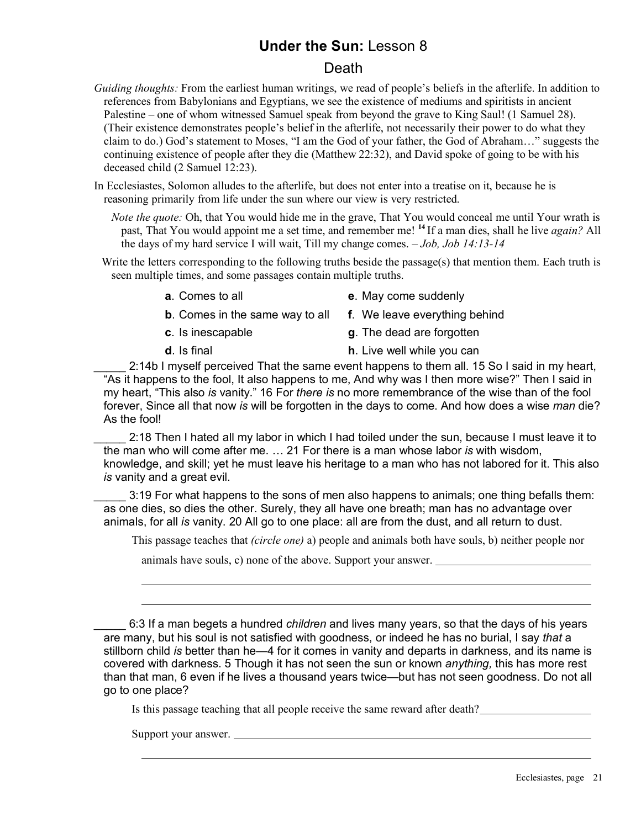### Death

*Guiding thoughts:* From the earliest human writings, we read of people's beliefs in the afterlife. In addition to references from Babylonians and Egyptians, we see the existence of mediums and spiritists in ancient Palestine – one of whom witnessed Samuel speak from beyond the grave to King Saul! (1 Samuel 28). (Their existence demonstrates people's belief in the afterlife, not necessarily their power to do what they claim to do.) God's statement to Moses, "I am the God of your father, the God of Abraham…" suggests the continuing existence of people after they die (Matthew 22:32), and David spoke of going to be with his deceased child (2 Samuel 12:23).

In Ecclesiastes, Solomon alludes to the afterlife, but does not enter into a treatise on it, because he is reasoning primarily from life under the sun where our view is very restricted.

- *Note the quote:* Oh, that You would hide me in the grave, That You would conceal me until Your wrath is past, That You would appoint me a set time, and remember me! **<sup>14</sup>** If a man dies, shall he live *again?* All the days of my hard service I will wait, Till my change comes. *– Job, Job 14:13-14*
- Write the letters corresponding to the following truths beside the passage(s) that mention them. Each truth is seen multiple times, and some passages contain multiple truths.

| a. Comes to all | e. May come suddenly |
|-----------------|----------------------|
|-----------------|----------------------|

- **b**. Comes in the same way to all **f**. We leave everything behind
- **c**. Is inescapable

**g**. The dead are forgotten

**d**. Is final

**h**. Live well while you can

\_\_\_\_\_ 2:14b I myself perceived That the same event happens to them all. 15 So I said in my heart, "As it happens to the fool, It also happens to me, And why was I then more wise?" Then I said in my heart, "This also *is* vanity." 16 For *there is* no more remembrance of the wise than of the fool forever, Since all that now *is* will be forgotten in the days to come. And how does a wise *man* die? As the fool!

\_\_\_\_\_ 2:18 Then I hated all my labor in which I had toiled under the sun, because I must leave it to the man who will come after me. … 21 For there is a man whose labor *is* with wisdom, knowledge, and skill; yet he must leave his heritage to a man who has not labored for it. This also *is* vanity and a great evil.

\_\_\_\_\_ 3:19 For what happens to the sons of men also happens to animals; one thing befalls them: as one dies, so dies the other. Surely, they all have one breath; man has no advantage over animals, for all *is* vanity. 20 All go to one place: all are from the dust, and all return to dust.

This passage teaches that *(circle one)* a) people and animals both have souls, b) neither people nor

animals have souls, c) none of the above. Support your answer.

\_\_\_\_\_ 6:3 If a man begets a hundred *children* and lives many years, so that the days of his years are many, but his soul is not satisfied with goodness, or indeed he has no burial, I say *that* a stillborn child *is* better than he—4 for it comes in vanity and departs in darkness, and its name is covered with darkness. 5 Though it has not seen the sun or known *anything,* this has more rest than that man, 6 even if he lives a thousand years twice—but has not seen goodness. Do not all go to one place?

Is this passage teaching that all people receive the same reward after death?

Support your answer.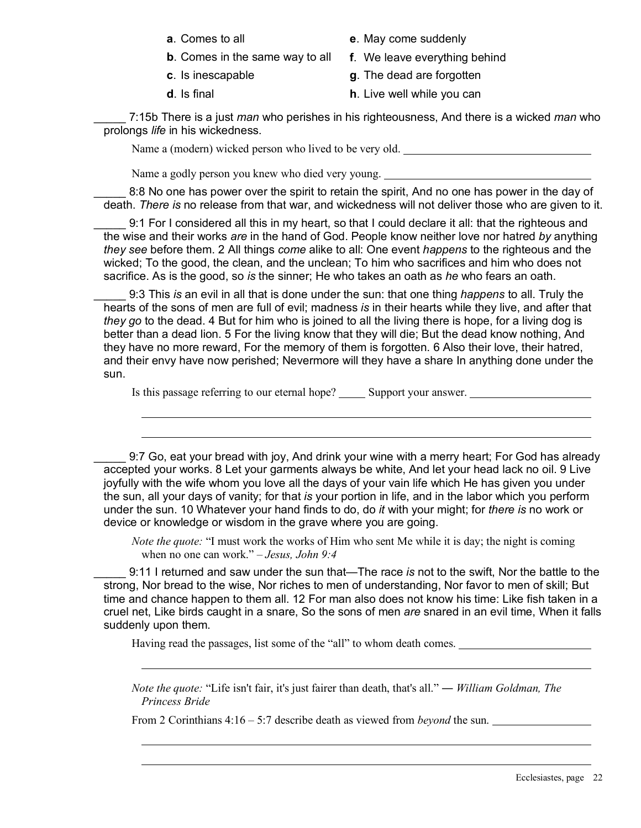- **a**. Comes to all
- **b**. Comes in the same way to all
- **c**. Is inescapable
- **f**. We leave everything behind

**e**. May come suddenly

**g**. The dead are forgotten

**d**. Is final

**h**. Live well while you can

\_\_\_\_\_ 7:15b There is a just *man* who perishes in his righteousness, And there is a wicked *man* who prolongs *life* in his wickedness.

Name a (modern) wicked person who lived to be very old.  $\overline{\phantom{a}}$ 

Name a godly person you knew who died very young.

8:8 No one has power over the spirit to retain the spirit, And no one has power in the day of death. *There is* no release from that war, and wickedness will not deliver those who are given to it.

9:1 For I considered all this in my heart, so that I could declare it all: that the righteous and the wise and their works *are* in the hand of God. People know neither love nor hatred *by* anything *they see* before them. 2 All things *come* alike to all: One event *happens* to the righteous and the wicked; To the good, the clean, and the unclean; To him who sacrifices and him who does not sacrifice. As is the good, so *is* the sinner; He who takes an oath as *he* who fears an oath.

\_\_\_\_\_ 9:3 This *is* an evil in all that is done under the sun: that one thing *happens* to all. Truly the hearts of the sons of men are full of evil; madness *is* in their hearts while they live, and after that *they go* to the dead. 4 But for him who is joined to all the living there is hope, for a living dog is better than a dead lion. 5 For the living know that they will die; But the dead know nothing, And they have no more reward, For the memory of them is forgotten. 6 Also their love, their hatred, and their envy have now perished; Nevermore will they have a share In anything done under the sun.

Is this passage referring to our eternal hope? Support your answer.

9:7 Go, eat your bread with joy, And drink your wine with a merry heart; For God has already accepted your works. 8 Let your garments always be white, And let your head lack no oil. 9 Live joyfully with the wife whom you love all the days of your vain life which He has given you under the sun, all your days of vanity; for that *is* your portion in life, and in the labor which you perform under the sun. 10 Whatever your hand finds to do, do *it* with your might; for *there is* no work or device or knowledge or wisdom in the grave where you are going.

*Note the quote:* "I must work the works of Him who sent Me while it is day; the night is coming when no one can work." *– Jesus, John 9:4*

\_\_\_\_\_ 9:11 I returned and saw under the sun that—The race *is* not to the swift, Nor the battle to the strong, Nor bread to the wise, Nor riches to men of understanding, Nor favor to men of skill; But time and chance happen to them all. 12 For man also does not know his time: Like fish taken in a cruel net, Like birds caught in a snare, So the sons of men *are* snared in an evil time, When it falls suddenly upon them.

Having read the passages, list some of the "all" to whom death comes.

*Note the quote:* "Life isn't fair, it's just fairer than death, that's all." *― William Goldman, The Princess Bride*

From 2 Corinthians 4:16 – 5:7 describe death as viewed from *beyond* the sun.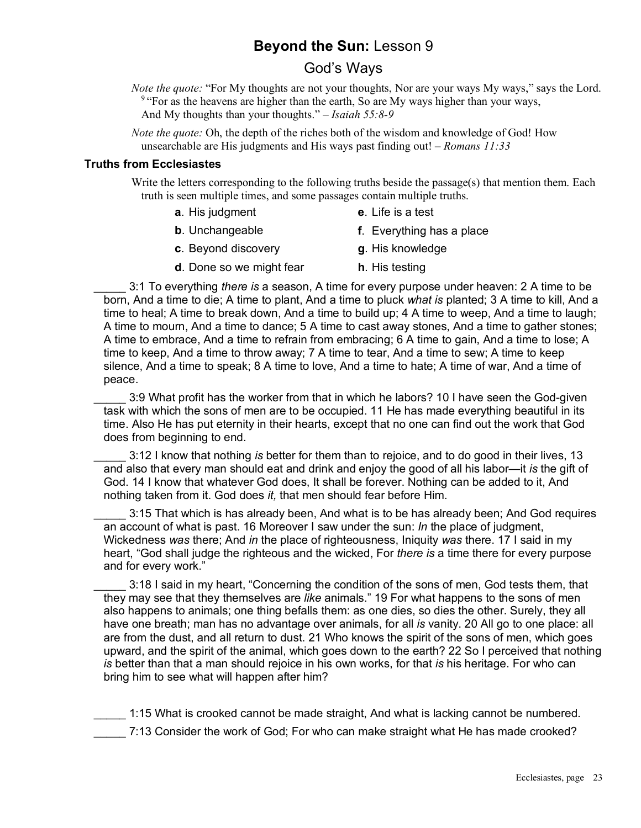## **Beyond the Sun:** Lesson 9

### God's Ways

*Note the quote:* "For My thoughts are not your thoughts, Nor are your ways My ways," says the Lord. <sup>9</sup> "For as the heavens are higher than the earth, So are My ways higher than your ways, And My thoughts than your thoughts." *– Isaiah 55:8-9*

*Note the quote:* Oh, the depth of the riches both of the wisdom and knowledge of God! How unsearchable are His judgments and His ways past finding out! *– Romans 11:33*

### **Truths from Ecclesiastes**

Write the letters corresponding to the following truths beside the passage(s) that mention them. Each truth is seen multiple times, and some passages contain multiple truths.

**e**. Life is a test **f**. Everything has a place **g**. His knowledge **h**. His testing **a**. His judgment **b**. Unchangeable **c**. Beyond discovery **d**. Done so we might fear

\_\_\_\_\_ 3:1 To everything *there is* a season, A time for every purpose under heaven: 2 A time to be born, And a time to die; A time to plant, And a time to pluck *what is* planted; 3 A time to kill, And a time to heal; A time to break down, And a time to build up; 4 A time to weep, And a time to laugh; A time to mourn, And a time to dance; 5 A time to cast away stones, And a time to gather stones; A time to embrace, And a time to refrain from embracing; 6 A time to gain, And a time to lose; A time to keep, And a time to throw away; 7 A time to tear, And a time to sew; A time to keep silence, And a time to speak; 8 A time to love, And a time to hate; A time of war, And a time of peace.

\_\_\_\_\_ 3:9 What profit has the worker from that in which he labors? 10 I have seen the God-given task with which the sons of men are to be occupied. 11 He has made everything beautiful in its time. Also He has put eternity in their hearts, except that no one can find out the work that God does from beginning to end.

\_\_\_\_\_ 3:12 I know that nothing *is* better for them than to rejoice, and to do good in their lives, 13 and also that every man should eat and drink and enjoy the good of all his labor—it *is* the gift of God. 14 I know that whatever God does, It shall be forever. Nothing can be added to it, And nothing taken from it. God does *it,* that men should fear before Him.

\_\_\_\_\_ 3:15 That which is has already been, And what is to be has already been; And God requires an account of what is past. 16 Moreover I saw under the sun: *In* the place of judgment, Wickedness *was* there; And *in* the place of righteousness, Iniquity *was* there. 17 I said in my heart, "God shall judge the righteous and the wicked, For *there is* a time there for every purpose and for every work."

\_\_\_\_\_ 3:18 I said in my heart, "Concerning the condition of the sons of men, God tests them, that they may see that they themselves are *like* animals." 19 For what happens to the sons of men also happens to animals; one thing befalls them: as one dies, so dies the other. Surely, they all have one breath; man has no advantage over animals, for all *is* vanity. 20 All go to one place: all are from the dust, and all return to dust. 21 Who knows the spirit of the sons of men, which goes upward, and the spirit of the animal, which goes down to the earth? 22 So I perceived that nothing *is* better than that a man should rejoice in his own works, for that *is* his heritage. For who can bring him to see what will happen after him?

\_\_\_\_\_ 1:15 What is crooked cannot be made straight, And what is lacking cannot be numbered.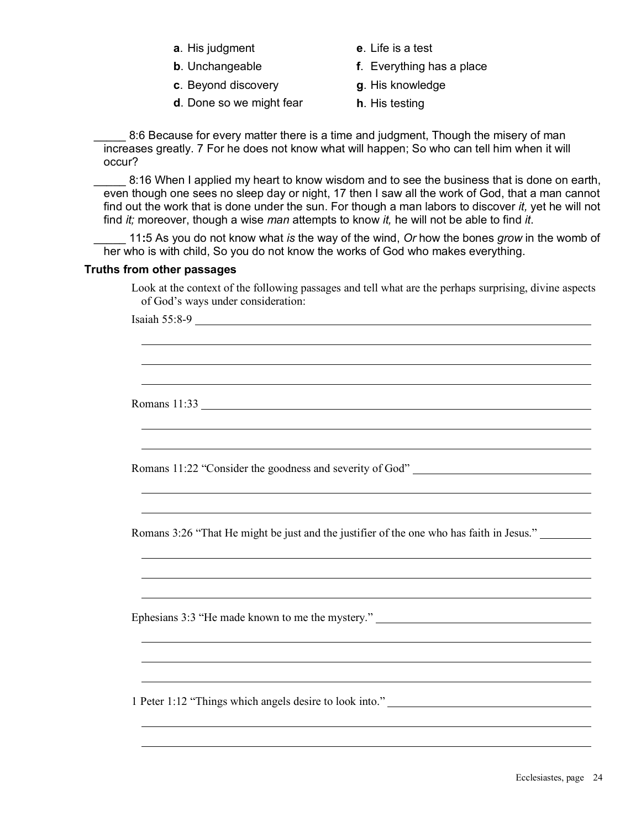**a**. His judgment

**c**. Beyond discovery

**e**. Life is a test

**f**. Everything has a place

- **b**. Unchangeable
- **g**. His knowledge
- **h**. His testing **d**. Done so we might fear

8:6 Because for every matter there is a time and judgment, Though the misery of man increases greatly. 7 For he does not know what will happen; So who can tell him when it will occur?

8:16 When I applied my heart to know wisdom and to see the business that is done on earth, even though one sees no sleep day or night, 17 then I saw all the work of God, that a man cannot find out the work that is done under the sun. For though a man labors to discover *it,* yet he will not find *it;* moreover, though a wise *man* attempts to know *it,* he will not be able to find *it*.

\_\_\_\_\_ 11**:**5 As you do not know what *is* the way of the wind, *Or* how the bones *grow* in the womb of her who is with child, So you do not know the works of God who makes everything.

### **Truths from other passages**

Look at the context of the following passages and tell what are the perhaps surprising, divine aspects of God's ways under consideration:

Isaiah 55:8-9

Romans 11:33

Romans 11:22 "Consider the goodness and severity of God"

Romans 3:26 "That He might be just and the justifier of the one who has faith in Jesus."

Ephesians 3:3 "He made known to me the mystery."

1 Peter 1:12 "Things which angels desire to look into."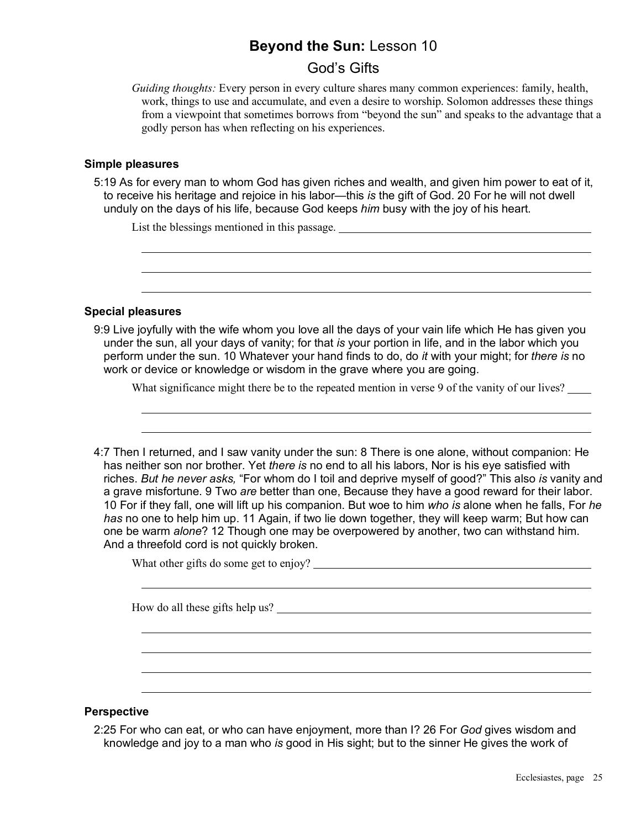## **Beyond the Sun:** Lesson 10

### God's Gifts

*Guiding thoughts:* Every person in every culture shares many common experiences: family, health, work, things to use and accumulate, and even a desire to worship. Solomon addresses these things from a viewpoint that sometimes borrows from "beyond the sun" and speaks to the advantage that a godly person has when reflecting on his experiences.

#### **Simple pleasures**

5:19 As for every man to whom God has given riches and wealth, and given him power to eat of it, to receive his heritage and rejoice in his labor—this *is* the gift of God. 20 For he will not dwell unduly on the days of his life, because God keeps *him* busy with the joy of his heart.

List the blessings mentioned in this passage.

### **Special pleasures**

9:9 Live joyfully with the wife whom you love all the days of your vain life which He has given you under the sun, all your days of vanity; for that *is* your portion in life, and in the labor which you perform under the sun. 10 Whatever your hand finds to do, do *it* with your might; for *there is* no work or device or knowledge or wisdom in the grave where you are going.

What significance might there be to the repeated mention in verse 9 of the vanity of our lives?

4:7 Then I returned, and I saw vanity under the sun: 8 There is one alone, without companion: He has neither son nor brother. Yet *there is* no end to all his labors, Nor is his eye satisfied with riches. *But he never asks,* "For whom do I toil and deprive myself of good?" This also *is* vanity and a grave misfortune. 9 Two *are* better than one, Because they have a good reward for their labor. 10 For if they fall, one will lift up his companion. But woe to him *who is* alone when he falls, For *he has* no one to help him up. 11 Again, if two lie down together, they will keep warm; But how can one be warm *alone*? 12 Though one may be overpowered by another, two can withstand him. And a threefold cord is not quickly broken.

| What other gifts do some get to enjoy? |  |
|----------------------------------------|--|
|                                        |  |

How do all these gifts help us?

#### **Perspective**

2:25 For who can eat, or who can have enjoyment, more than I? 26 For *God* gives wisdom and knowledge and joy to a man who *is* good in His sight; but to the sinner He gives the work of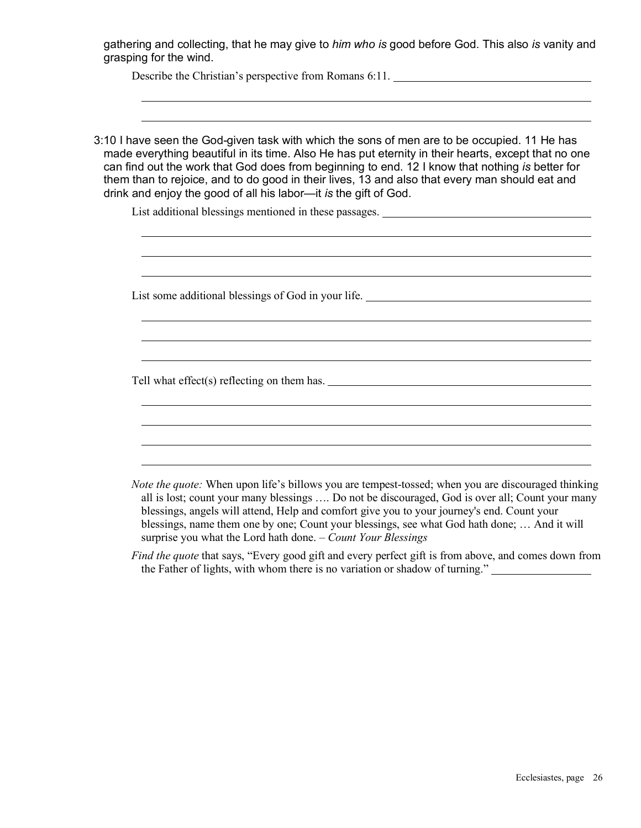gathering and collecting, that he may give to *him who is* good before God. This also *is* vanity and grasping for the wind.

Describe the Christian's perspective from Romans 6:11.

3:10 I have seen the God-given task with which the sons of men are to be occupied. 11 He has made everything beautiful in its time. Also He has put eternity in their hearts, except that no one can find out the work that God does from beginning to end. 12 I know that nothing *is* better for them than to rejoice, and to do good in their lives, 13 and also that every man should eat and drink and enjoy the good of all his labor—it *is* the gift of God.

List additional blessings mentioned in these passages.

List some additional blessings of God in your life.

Tell what effect(s) reflecting on them has.

*Note the quote:* When upon life's billows you are tempest-tossed; when you are discouraged thinking all is lost; count your many blessings …. Do not be discouraged, God is over all; Count your many blessings, angels will attend, Help and comfort give you to your journey's end. Count your blessings, name them one by one; Count your blessings, see what God hath done; … And it will surprise you what the Lord hath done. *– Count Your Blessings*

*Find the quote* that says, "Every good gift and every perfect gift is from above, and comes down from the Father of lights, with whom there is no variation or shadow of turning."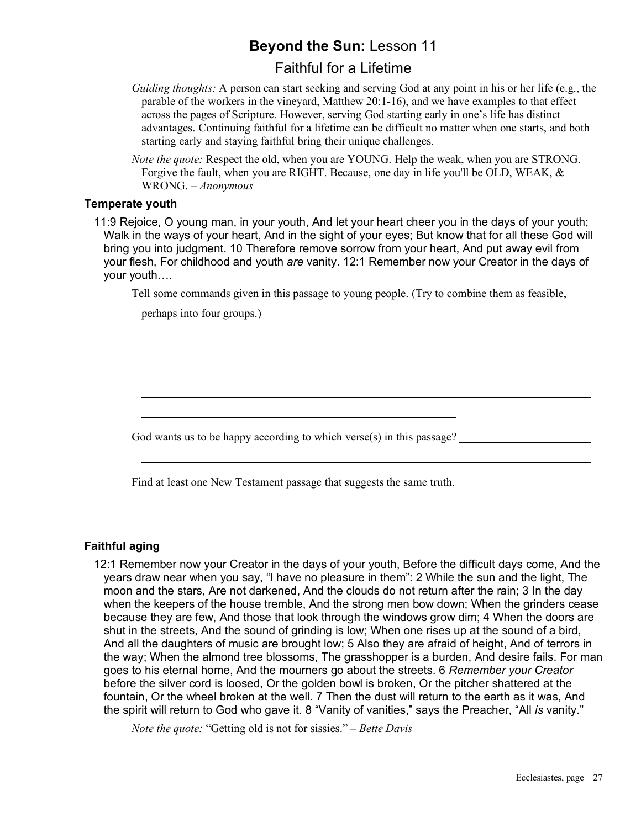## **Beyond the Sun:** Lesson 11

### Faithful for a Lifetime

- *Guiding thoughts:* A person can start seeking and serving God at any point in his or her life (e.g., the parable of the workers in the vineyard, Matthew 20:1-16), and we have examples to that effect across the pages of Scripture. However, serving God starting early in one's life has distinct advantages. Continuing faithful for a lifetime can be difficult no matter when one starts, and both starting early and staying faithful bring their unique challenges.
- *Note the quote:* Respect the old, when you are YOUNG. Help the weak, when you are STRONG. Forgive the fault, when you are RIGHT. Because, one day in life you'll be OLD, WEAK, & WRONG. – *Anonymous*

### **Temperate youth**

11:9 Rejoice, O young man, in your youth, And let your heart cheer you in the days of your youth; Walk in the ways of your heart, And in the sight of your eyes; But know that for all these God will bring you into judgment. 10 Therefore remove sorrow from your heart, And put away evil from your flesh, For childhood and youth *are* vanity. 12:1 Remember now your Creator in the days of your youth….

Tell some commands given in this passage to young people. (Try to combine them as feasible,

| God wants us to be happy according to which verse(s) in this passage? |  |
|-----------------------------------------------------------------------|--|
| Find at least one New Testament passage that suggests the same truth. |  |

### **Faithful aging**

12:1 Remember now your Creator in the days of your youth, Before the difficult days come, And the years draw near when you say, "I have no pleasure in them": 2 While the sun and the light, The moon and the stars, Are not darkened, And the clouds do not return after the rain; 3 In the day when the keepers of the house tremble, And the strong men bow down; When the grinders cease because they are few, And those that look through the windows grow dim; 4 When the doors are shut in the streets, And the sound of grinding is low; When one rises up at the sound of a bird, And all the daughters of music are brought low; 5 Also they are afraid of height, And of terrors in the way; When the almond tree blossoms, The grasshopper is a burden, And desire fails. For man goes to his eternal home, And the mourners go about the streets. 6 *Remember your Creator* before the silver cord is loosed, Or the golden bowl is broken, Or the pitcher shattered at the fountain, Or the wheel broken at the well. 7 Then the dust will return to the earth as it was, And the spirit will return to God who gave it. 8 "Vanity of vanities," says the Preacher, "All *is* vanity."

*Note the quote:* "Getting old is not for sissies." *– Bette Davis*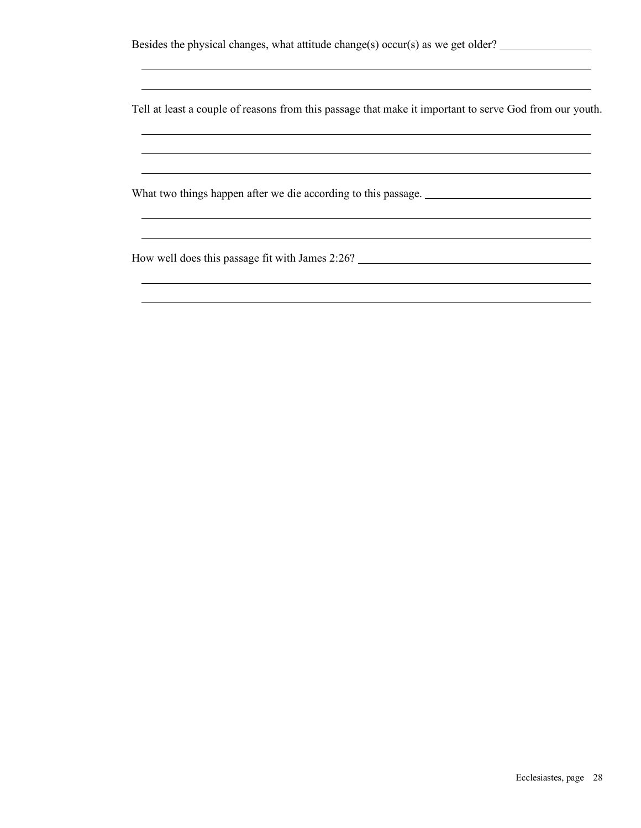Tell at least a couple of reasons from this passage that make it important to serve God from our youth.

What two things happen after we die according to this passage.

How well does this passage fit with James 2:26?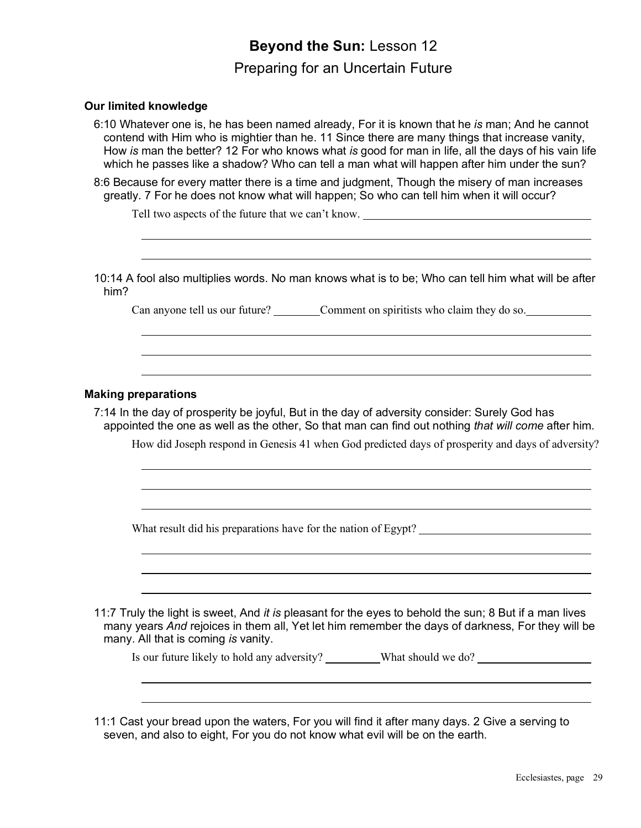## **Beyond the Sun:** Lesson 12

Preparing for an Uncertain Future

### **Our limited knowledge**

- 6:10 Whatever one is, he has been named already, For it is known that he *is* man; And he cannot contend with Him who is mightier than he. 11 Since there are many things that increase vanity, How *is* man the better? 12 For who knows what *is* good for man in life, all the days of his vain life which he passes like a shadow? Who can tell a man what will happen after him under the sun?
- 8:6 Because for every matter there is a time and judgment, Though the misery of man increases greatly. 7 For he does not know what will happen; So who can tell him when it will occur?

Tell two aspects of the future that we can't know.

10:14 A fool also multiplies words. No man knows what is to be; Who can tell him what will be after him?

Can anyone tell us our future? Comment on spiritists who claim they do so.

#### **Making preparations**

7:14 In the day of prosperity be joyful, But in the day of adversity consider: Surely God has appointed the one as well as the other, So that man can find out nothing *that will come* after him.

How did Joseph respond in Genesis 41 when God predicted days of prosperity and days of adversity?

What result did his preparations have for the nation of Egypt?

11:7 Truly the light is sweet, And *it is* pleasant for the eyes to behold the sun; 8 But if a man lives many years *And* rejoices in them all, Yet let him remember the days of darkness, For they will be many. All that is coming *is* vanity.

Is our future likely to hold any adversity? What should we do?

11:1 Cast your bread upon the waters, For you will find it after many days. 2 Give a serving to seven, and also to eight, For you do not know what evil will be on the earth.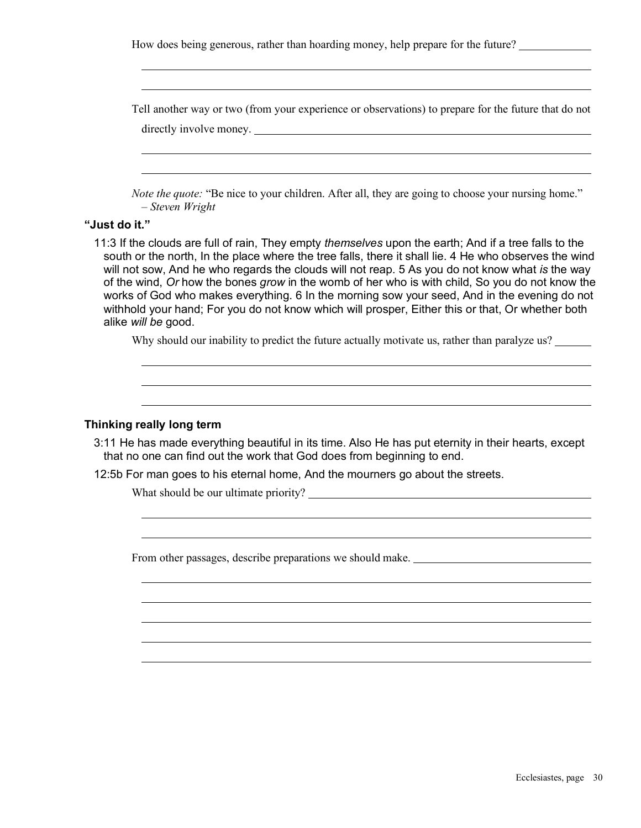| How does being generous, rather than hoarding money, help prepare for the future? |  |  |  |  |
|-----------------------------------------------------------------------------------|--|--|--|--|
|-----------------------------------------------------------------------------------|--|--|--|--|

|               | Tell another way or two (from your experience or observations) to prepare for the future that do not<br>directly involve money.                                                                                                                                                                                                                                                                                                                                                                                                                                                                                                                                                                                                                         |
|---------------|---------------------------------------------------------------------------------------------------------------------------------------------------------------------------------------------------------------------------------------------------------------------------------------------------------------------------------------------------------------------------------------------------------------------------------------------------------------------------------------------------------------------------------------------------------------------------------------------------------------------------------------------------------------------------------------------------------------------------------------------------------|
|               | <i>Note the quote:</i> "Be nice to your children. After all, they are going to choose your nursing home."<br>- Steven Wright                                                                                                                                                                                                                                                                                                                                                                                                                                                                                                                                                                                                                            |
| "Just do it." | 11:3 If the clouds are full of rain, They empty <i>themselves</i> upon the earth; And if a tree falls to the<br>south or the north, In the place where the tree falls, there it shall lie. 4 He who observes the wind<br>will not sow, And he who regards the clouds will not reap. 5 As you do not know what is the way<br>of the wind, Or how the bones grow in the womb of her who is with child, So you do not know the<br>works of God who makes everything. 6 In the morning sow your seed, And in the evening do not<br>withhold your hand; For you do not know which will prosper, Either this or that, Or whether both<br>alike will be good.<br>Why should our inability to predict the future actually motivate us, rather than paralyze us? |
|               | Thinking really long term                                                                                                                                                                                                                                                                                                                                                                                                                                                                                                                                                                                                                                                                                                                               |
|               | 3:11 He has made everything beautiful in its time. Also He has put eternity in their hearts, except<br>that no one can find out the work that God does from beginning to end.                                                                                                                                                                                                                                                                                                                                                                                                                                                                                                                                                                           |
|               | 12:5b For man goes to his eternal home, And the mourners go about the streets.                                                                                                                                                                                                                                                                                                                                                                                                                                                                                                                                                                                                                                                                          |
|               | What should be our ultimate priority?                                                                                                                                                                                                                                                                                                                                                                                                                                                                                                                                                                                                                                                                                                                   |
|               | From other passages, describe preparations we should make.                                                                                                                                                                                                                                                                                                                                                                                                                                                                                                                                                                                                                                                                                              |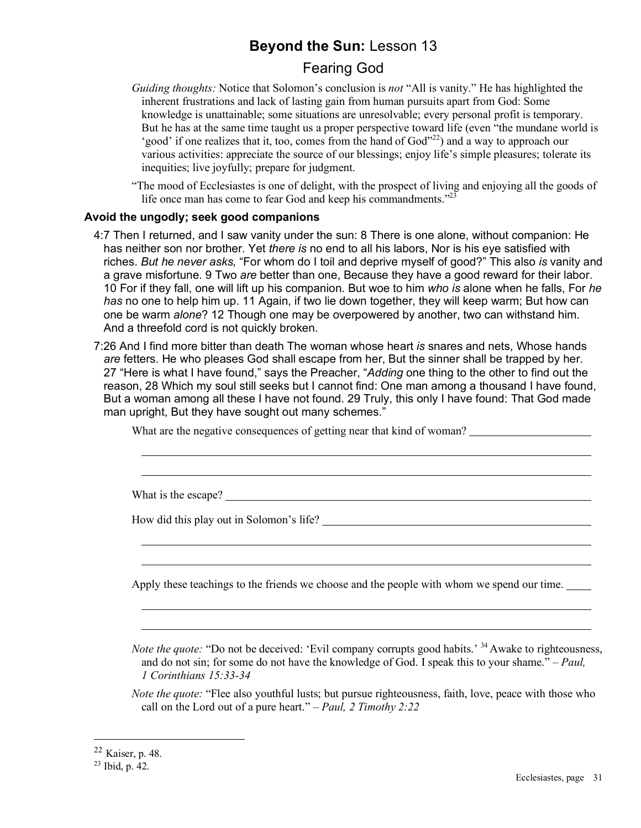## **Beyond the Sun:** Lesson 13

## Fearing God

- *Guiding thoughts:* Notice that Solomon's conclusion is *not* "All is vanity." He has highlighted the inherent frustrations and lack of lasting gain from human pursuits apart from God: Some knowledge is unattainable; some situations are unresolvable; every personal profit is temporary. But he has at the same time taught us a proper perspective toward life (even "the mundane world is 'good' if one realizes that it, too, comes from the hand of God"22) and a way to approach our various activities: appreciate the source of our blessings; enjoy life's simple pleasures; tolerate its inequities; live joyfully; prepare for judgment.
- "The mood of Ecclesiastes is one of delight, with the prospect of living and enjoying all the goods of life once man has come to fear God and keep his commandments."<sup>2</sup>

### **Avoid the ungodly; seek good companions**

- 4:7 Then I returned, and I saw vanity under the sun: 8 There is one alone, without companion: He has neither son nor brother. Yet *there is* no end to all his labors, Nor is his eye satisfied with riches. *But he never asks,* "For whom do I toil and deprive myself of good?" This also *is* vanity and a grave misfortune. 9 Two *are* better than one, Because they have a good reward for their labor. 10 For if they fall, one will lift up his companion. But woe to him *who is* alone when he falls, For *he has* no one to help him up. 11 Again, if two lie down together, they will keep warm; But how can one be warm *alone*? 12 Though one may be overpowered by another, two can withstand him. And a threefold cord is not quickly broken.
- 7:26 And I find more bitter than death The woman whose heart *is* snares and nets, Whose hands *are* fetters. He who pleases God shall escape from her, But the sinner shall be trapped by her. 27 "Here is what I have found," says the Preacher, "*Adding* one thing to the other to find out the reason, 28 Which my soul still seeks but I cannot find: One man among a thousand I have found, But a woman among all these I have not found. 29 Truly, this only I have found: That God made man upright, But they have sought out many schemes."

What are the negative consequences of getting near that kind of woman?

What is the escape?

How did this play out in Solomon's life?

Apply these teachings to the friends we choose and the people with whom we spend our time.

*Note the quote:* "Do not be deceived: 'Evil company corrupts good habits.' <sup>34</sup> Awake to righteousness, and do not sin; for some do not have the knowledge of God. I speak this to your shame." – *Paul. 1 Corinthians 15:33-34*

*Note the quote:* "Flee also youthful lusts; but pursue righteousness, faith, love, peace with those who call on the Lord out of a pure heart." *– Paul, 2 Timothy 2:22*

 $22$  Kaiser, p. 48.

<sup>23</sup> Ibid, p. 42.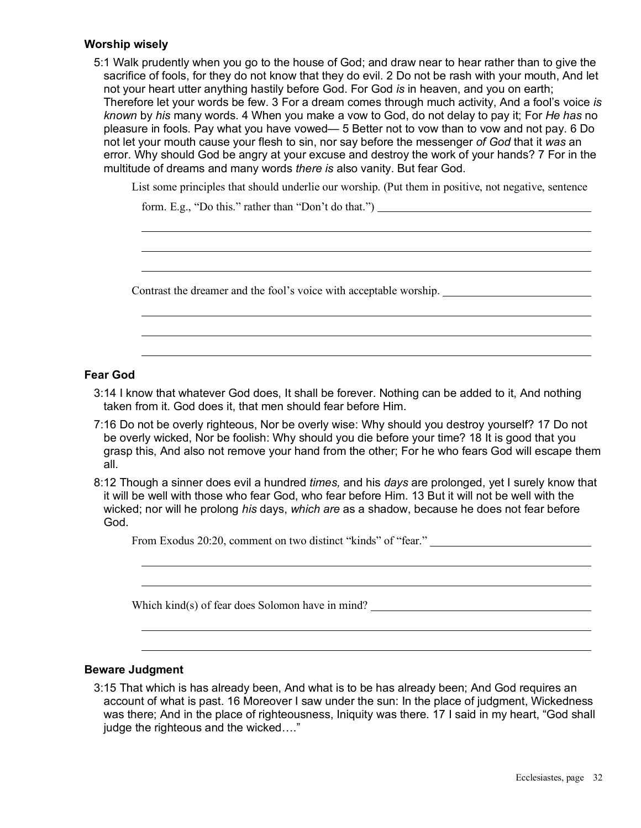#### **Worship wisely**

5:1 Walk prudently when you go to the house of God; and draw near to hear rather than to give the sacrifice of fools, for they do not know that they do evil. 2 Do not be rash with your mouth, And let not your heart utter anything hastily before God. For God *is* in heaven, and you on earth; Therefore let your words be few. 3 For a dream comes through much activity, And a fool's voice *is known* by *his* many words. 4 When you make a vow to God, do not delay to pay it; For *He has* no pleasure in fools. Pay what you have vowed— 5 Better not to vow than to vow and not pay. 6 Do not let your mouth cause your flesh to sin, nor say before the messenger *of God* that it *was* an error. Why should God be angry at your excuse and destroy the work of your hands? 7 For in the multitude of dreams and many words *there is* also vanity. But fear God.

List some principles that should underlie our worship. (Put them in positive, not negative, sentence

form. E.g., "Do this." rather than "Don't do that.")

Contrast the dreamer and the fool's voice with acceptable worship.

### **Fear God**

- 3:14 I know that whatever God does, It shall be forever. Nothing can be added to it, And nothing taken from it. God does it, that men should fear before Him.
- 7:16 Do not be overly righteous, Nor be overly wise: Why should you destroy yourself? 17 Do not be overly wicked, Nor be foolish: Why should you die before your time? 18 It is good that you grasp this, And also not remove your hand from the other; For he who fears God will escape them all.
- 8:12 Though a sinner does evil a hundred *times,* and his *days* are prolonged, yet I surely know that it will be well with those who fear God, who fear before Him. 13 But it will not be well with the wicked; nor will he prolong *his* days, *which are* as a shadow, because he does not fear before God.

From Exodus 20:20, comment on two distinct "kinds" of "fear."

Which kind(s) of fear does Solomon have in mind?

### **Beware Judgment**

3:15 That which is has already been, And what is to be has already been; And God requires an account of what is past. 16 Moreover I saw under the sun: In the place of judgment, Wickedness was there; And in the place of righteousness, Iniquity was there. 17 I said in my heart, "God shall judge the righteous and the wicked…."